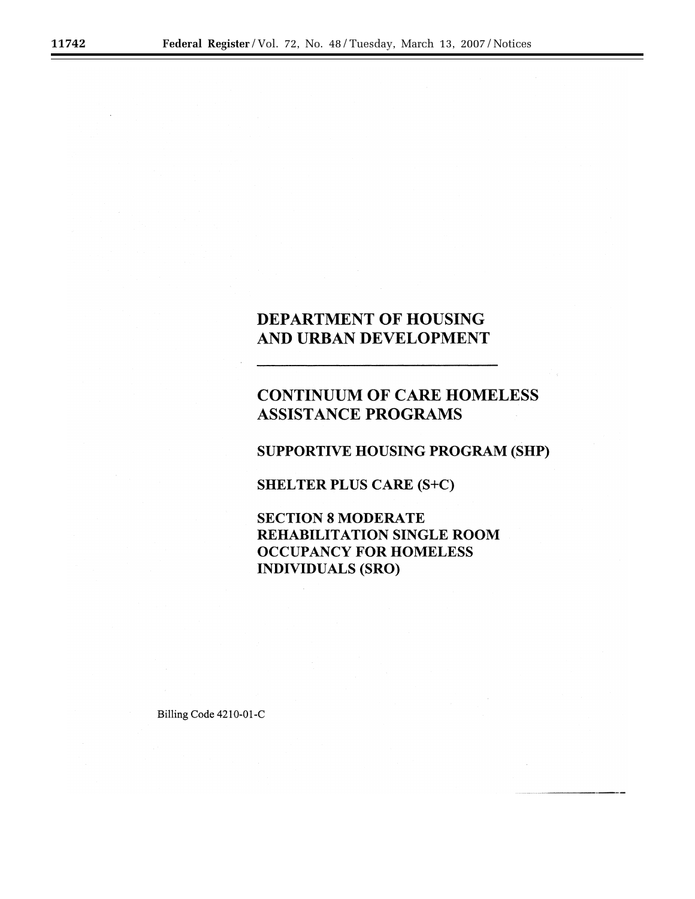## **DEPARTMENT OF HOUSING** AND URBAN DEVELOPMENT

# **CONTINUUM OF CARE HOMELESS ASSISTANCE PROGRAMS**

## **SUPPORTIVE HOUSING PROGRAM (SHP)**

**SHELTER PLUS CARE (S+C)** 

**SECTION 8 MODERATE REHABILITATION SINGLE ROOM OCCUPANCY FOR HOMELESS INDIVIDUALS (SRO)** 

Billing Code 4210-01-C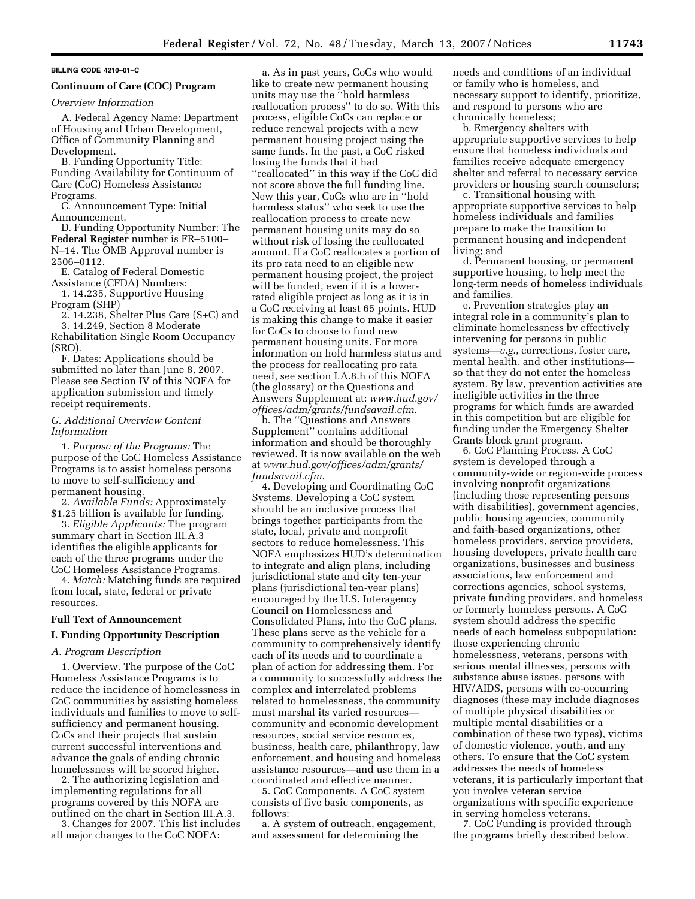## **BILLING CODE 4210–01–C**

#### **Continuum of Care (COC) Program**

*Overview Information* 

A. Federal Agency Name: Department of Housing and Urban Development, Office of Community Planning and Development.

B. Funding Opportunity Title: Funding Availability for Continuum of Care (CoC) Homeless Assistance Programs.

C. Announcement Type: Initial Announcement.

D. Funding Opportunity Number: The **Federal Register** number is FR–5100– N–14. The OMB Approval number is 2506–0112.

E. Catalog of Federal Domestic Assistance (CFDA) Numbers:

1. 14.235, Supportive Housing Program (SHP)

2. 14.238, Shelter Plus Care (S+C) and

3. 14.249, Section 8 Moderate Rehabilitation Single Room Occupancy (SRO).

F. Dates: Applications should be submitted no later than June 8, 2007. Please see Section IV of this NOFA for application submission and timely receipt requirements.

## *G. Additional Overview Content Information*

1. *Purpose of the Programs:* The purpose of the CoC Homeless Assistance Programs is to assist homeless persons to move to self-sufficiency and permanent housing.

2. *Available Funds:* Approximately \$1.25 billion is available for funding.

3. *Eligible Applicants:* The program summary chart in Section III.A.3 identifies the eligible applicants for each of the three programs under the CoC Homeless Assistance Programs.

4. *Match:* Matching funds are required from local, state, federal or private resources.

## **Full Text of Announcement**

## **I. Funding Opportunity Description**

#### *A. Program Description*

1. Overview. The purpose of the CoC Homeless Assistance Programs is to reduce the incidence of homelessness in CoC communities by assisting homeless individuals and families to move to selfsufficiency and permanent housing. CoCs and their projects that sustain current successful interventions and advance the goals of ending chronic homelessness will be scored higher.

2. The authorizing legislation and implementing regulations for all programs covered by this NOFA are outlined on the chart in Section III.A.3.

3. Changes for 2007. This list includes all major changes to the CoC NOFA:

a. As in past years, CoCs who would like to create new permanent housing units may use the ''hold harmless reallocation process'' to do so. With this process, eligible CoCs can replace or reduce renewal projects with a new permanent housing project using the same funds. In the past, a CoC risked losing the funds that it had ''reallocated'' in this way if the CoC did not score above the full funding line. New this year, CoCs who are in ''hold harmless status'' who seek to use the reallocation process to create new permanent housing units may do so without risk of losing the reallocated amount. If a CoC reallocates a portion of its pro rata need to an eligible new permanent housing project, the project will be funded, even if it is a lowerrated eligible project as long as it is in a CoC receiving at least 65 points. HUD is making this change to make it easier for CoCs to choose to fund new permanent housing units. For more information on hold harmless status and the process for reallocating pro rata need, see section I.A.8.h of this NOFA (the glossary) or the Questions and Answers Supplement at: *www.hud.gov/ offices/adm/grants/fundsavail.cfm*.

b. The ''Questions and Answers Supplement'' contains additional information and should be thoroughly reviewed. It is now available on the web at *www.hud.gov/offices/adm/grants/ fundsavail.cfm*.

4. Developing and Coordinating CoC Systems. Developing a CoC system should be an inclusive process that brings together participants from the state, local, private and nonprofit sectors to reduce homelessness. This NOFA emphasizes HUD's determination to integrate and align plans, including jurisdictional state and city ten-year plans (jurisdictional ten-year plans) encouraged by the U.S. Interagency Council on Homelessness and Consolidated Plans, into the CoC plans. These plans serve as the vehicle for a community to comprehensively identify each of its needs and to coordinate a plan of action for addressing them. For a community to successfully address the complex and interrelated problems related to homelessness, the community must marshal its varied resources community and economic development resources, social service resources, business, health care, philanthropy, law enforcement, and housing and homeless assistance resources—and use them in a coordinated and effective manner.

5. CoC Components. A CoC system consists of five basic components, as follows:

a. A system of outreach, engagement, and assessment for determining the

needs and conditions of an individual or family who is homeless, and necessary support to identify, prioritize, and respond to persons who are chronically homeless;

b. Emergency shelters with appropriate supportive services to help ensure that homeless individuals and families receive adequate emergency shelter and referral to necessary service providers or housing search counselors;

c. Transitional housing with appropriate supportive services to help homeless individuals and families prepare to make the transition to permanent housing and independent living; and

d. Permanent housing, or permanent supportive housing, to help meet the long-term needs of homeless individuals and families.

e. Prevention strategies play an integral role in a community's plan to eliminate homelessness by effectively intervening for persons in public systems—*e.g.*, corrections, foster care, mental health, and other institutions so that they do not enter the homeless system. By law, prevention activities are ineligible activities in the three programs for which funds are awarded in this competition but are eligible for funding under the Emergency Shelter Grants block grant program.

6. CoC Planning Process. A CoC system is developed through a community-wide or region-wide process involving nonprofit organizations (including those representing persons with disabilities), government agencies, public housing agencies, community and faith-based organizations, other homeless providers, service providers, housing developers, private health care organizations, businesses and business associations, law enforcement and corrections agencies, school systems, private funding providers, and homeless or formerly homeless persons. A CoC system should address the specific needs of each homeless subpopulation: those experiencing chronic homelessness, veterans, persons with serious mental illnesses, persons with substance abuse issues, persons with HIV/AIDS, persons with co-occurring diagnoses (these may include diagnoses of multiple physical disabilities or multiple mental disabilities or a combination of these two types), victims of domestic violence, youth, and any others. To ensure that the CoC system addresses the needs of homeless veterans, it is particularly important that you involve veteran service organizations with specific experience in serving homeless veterans.

7. CoC Funding is provided through the programs briefly described below.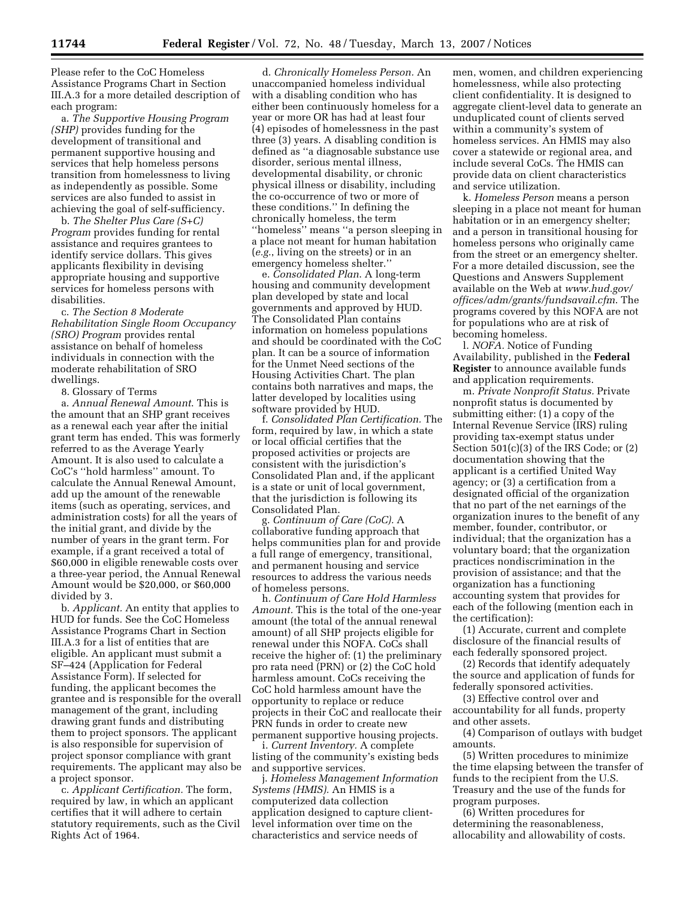Please refer to the CoC Homeless Assistance Programs Chart in Section III.A.3 for a more detailed description of each program:

a. *The Supportive Housing Program (SHP)* provides funding for the development of transitional and permanent supportive housing and services that help homeless persons transition from homelessness to living as independently as possible. Some services are also funded to assist in achieving the goal of self-sufficiency.

b. *The Shelter Plus Care (S+C) Program* provides funding for rental assistance and requires grantees to identify service dollars. This gives applicants flexibility in devising appropriate housing and supportive services for homeless persons with disabilities.

c. *The Section 8 Moderate Rehabilitation Single Room Occupancy (SRO) Program* provides rental assistance on behalf of homeless individuals in connection with the moderate rehabilitation of SRO dwellings.

8. Glossary of Terms

a. *Annual Renewal Amount*. This is the amount that an SHP grant receives as a renewal each year after the initial grant term has ended. This was formerly referred to as the Average Yearly Amount. It is also used to calculate a CoC's ''hold harmless'' amount. To calculate the Annual Renewal Amount, add up the amount of the renewable items (such as operating, services, and administration costs) for all the years of the initial grant, and divide by the number of years in the grant term. For example, if a grant received a total of \$60,000 in eligible renewable costs over a three-year period, the Annual Renewal Amount would be \$20,000, or \$60,000 divided by 3.

b. *Applicant.* An entity that applies to HUD for funds. See the CoC Homeless Assistance Programs Chart in Section III.A.3 for a list of entities that are eligible. An applicant must submit a SF–424 (Application for Federal Assistance Form). If selected for funding, the applicant becomes the grantee and is responsible for the overall management of the grant, including drawing grant funds and distributing them to project sponsors. The applicant is also responsible for supervision of project sponsor compliance with grant requirements. The applicant may also be a project sponsor.

c. *Applicant Certification.* The form, required by law, in which an applicant certifies that it will adhere to certain statutory requirements, such as the Civil Rights Act of 1964.

d. *Chronically Homeless Person.* An unaccompanied homeless individual with a disabling condition who has either been continuously homeless for a year or more OR has had at least four (4) episodes of homelessness in the past three (3) years. A disabling condition is defined as ''a diagnosable substance use disorder, serious mental illness, developmental disability, or chronic physical illness or disability, including the co-occurrence of two or more of these conditions.'' In defining the chronically homeless, the term ''homeless'' means ''a person sleeping in a place not meant for human habitation (*e.g.*, living on the streets) or in an emergency homeless shelter.''

e. *Consolidated Plan*. A long-term housing and community development plan developed by state and local governments and approved by HUD. The Consolidated Plan contains information on homeless populations and should be coordinated with the CoC plan. It can be a source of information for the Unmet Need sections of the Housing Activities Chart. The plan contains both narratives and maps, the latter developed by localities using software provided by HUD.

f. *Consolidated Plan Certification.* The form, required by law, in which a state or local official certifies that the proposed activities or projects are consistent with the jurisdiction's Consolidated Plan and, if the applicant is a state or unit of local government, that the jurisdiction is following its Consolidated Plan.

g. *Continuum of Care (CoC).* A collaborative funding approach that helps communities plan for and provide a full range of emergency, transitional, and permanent housing and service resources to address the various needs of homeless persons.

h. *Continuum of Care Hold Harmless Amount.* This is the total of the one-year amount (the total of the annual renewal amount) of all SHP projects eligible for renewal under this NOFA. CoCs shall receive the higher of: (1) the preliminary pro rata need (PRN) or (2) the CoC hold harmless amount. CoCs receiving the CoC hold harmless amount have the opportunity to replace or reduce projects in their CoC and reallocate their PRN funds in order to create new permanent supportive housing projects.

i. *Current Inventory.* A complete listing of the community's existing beds and supportive services.

j. *Homeless Management Information Systems (HMIS).* An HMIS is a computerized data collection application designed to capture clientlevel information over time on the characteristics and service needs of

men, women, and children experiencing homelessness, while also protecting client confidentiality. It is designed to aggregate client-level data to generate an unduplicated count of clients served within a community's system of homeless services. An HMIS may also cover a statewide or regional area, and include several CoCs. The HMIS can provide data on client characteristics and service utilization.

k. *Homeless Person* means a person sleeping in a place not meant for human habitation or in an emergency shelter; and a person in transitional housing for homeless persons who originally came from the street or an emergency shelter. For a more detailed discussion, see the Questions and Answers Supplement available on the Web at *www.hud.gov/ offices/adm/grants/fundsavail.cfm*. The programs covered by this NOFA are not for populations who are at risk of becoming homeless.

l. *NOFA.* Notice of Funding Availability, published in the **Federal Register** to announce available funds and application requirements.

m. *Private Nonprofit Status.* Private nonprofit status is documented by submitting either: (1) a copy of the Internal Revenue Service (IRS) ruling providing tax-exempt status under Section 501(c)(3) of the IRS Code; or (2) documentation showing that the applicant is a certified United Way agency; or (3) a certification from a designated official of the organization that no part of the net earnings of the organization inures to the benefit of any member, founder, contributor, or individual; that the organization has a voluntary board; that the organization practices nondiscrimination in the provision of assistance; and that the organization has a functioning accounting system that provides for each of the following (mention each in the certification):

(1) Accurate, current and complete disclosure of the financial results of each federally sponsored project.

(2) Records that identify adequately the source and application of funds for federally sponsored activities.

(3) Effective control over and accountability for all funds, property and other assets.

(4) Comparison of outlays with budget amounts.

(5) Written procedures to minimize the time elapsing between the transfer of funds to the recipient from the U.S. Treasury and the use of the funds for program purposes.

(6) Written procedures for determining the reasonableness, allocability and allowability of costs.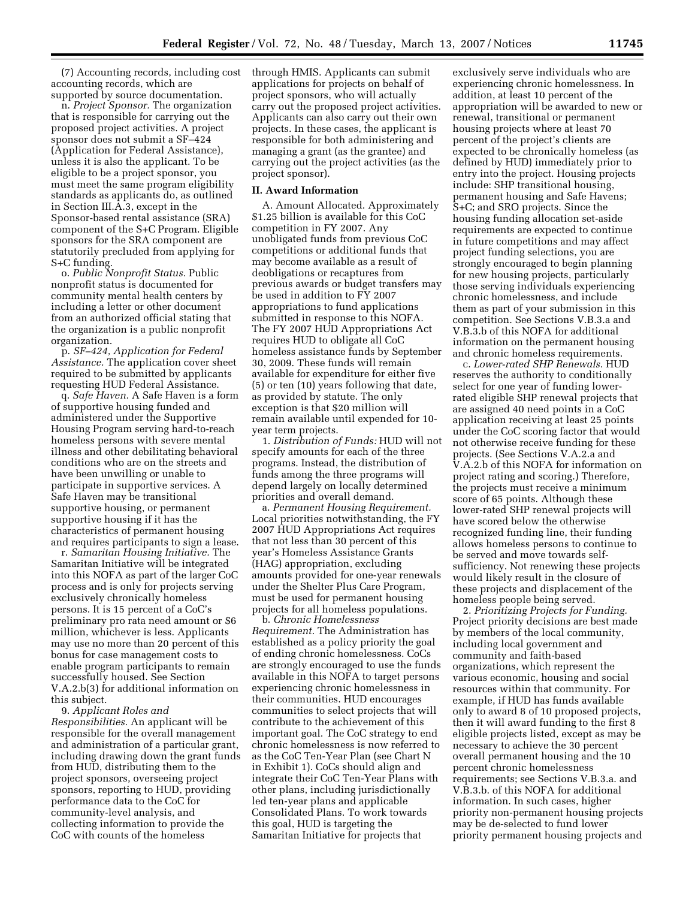(7) Accounting records, including cost accounting records, which are supported by source documentation.

n. *Project Sponsor.* The organization that is responsible for carrying out the proposed project activities. A project sponsor does not submit a SF–424 (Application for Federal Assistance), unless it is also the applicant. To be eligible to be a project sponsor, you must meet the same program eligibility standards as applicants do, as outlined in Section III.A.3, except in the Sponsor-based rental assistance (SRA) component of the S+C Program. Eligible sponsors for the SRA component are statutorily precluded from applying for S+C funding.

o. *Public Nonprofit Status.* Public nonprofit status is documented for community mental health centers by including a letter or other document from an authorized official stating that the organization is a public nonprofit organization.

p. *SF–424, Application for Federal Assistance.* The application cover sheet required to be submitted by applicants requesting HUD Federal Assistance.

q. *Safe Haven.* A Safe Haven is a form of supportive housing funded and administered under the Supportive Housing Program serving hard-to-reach homeless persons with severe mental illness and other debilitating behavioral conditions who are on the streets and have been unwilling or unable to participate in supportive services. A Safe Haven may be transitional supportive housing, or permanent supportive housing if it has the characteristics of permanent housing and requires participants to sign a lease.

r. *Samaritan Housing Initiative.* The Samaritan Initiative will be integrated into this NOFA as part of the larger CoC process and is only for projects serving exclusively chronically homeless persons. It is 15 percent of a CoC's preliminary pro rata need amount or \$6 million, whichever is less. Applicants may use no more than 20 percent of this bonus for case management costs to enable program participants to remain successfully housed. See Section V.A.2.b(3) for additional information on this subject.

9. *Applicant Roles and Responsibilities.* An applicant will be responsible for the overall management and administration of a particular grant, including drawing down the grant funds from HUD, distributing them to the project sponsors, overseeing project sponsors, reporting to HUD, providing performance data to the CoC for community-level analysis, and collecting information to provide the CoC with counts of the homeless

through HMIS. Applicants can submit applications for projects on behalf of project sponsors, who will actually carry out the proposed project activities. Applicants can also carry out their own projects. In these cases, the applicant is responsible for both administering and managing a grant (as the grantee) and carrying out the project activities (as the project sponsor).

#### **II. Award Information**

A. Amount Allocated. Approximately \$1.25 billion is available for this CoC competition in FY 2007. Any unobligated funds from previous CoC competitions or additional funds that may become available as a result of deobligations or recaptures from previous awards or budget transfers may be used in addition to FY 2007 appropriations to fund applications submitted in response to this NOFA. The FY 2007 HUD Appropriations Act requires HUD to obligate all CoC homeless assistance funds by September 30, 2009. These funds will remain available for expenditure for either five (5) or ten (10) years following that date, as provided by statute. The only exception is that \$20 million will remain available until expended for 10 year term projects.

1. *Distribution of Funds:* HUD will not specify amounts for each of the three programs. Instead, the distribution of funds among the three programs will depend largely on locally determined priorities and overall demand.

a. *Permanent Housing Requirement.*  Local priorities notwithstanding, the FY 2007 HUD Appropriations Act requires that not less than 30 percent of this year's Homeless Assistance Grants (HAG) appropriation, excluding amounts provided for one-year renewals under the Shelter Plus Care Program, must be used for permanent housing projects for all homeless populations.

b. *Chronic Homelessness Requirement.* The Administration has established as a policy priority the goal of ending chronic homelessness. CoCs are strongly encouraged to use the funds available in this NOFA to target persons experiencing chronic homelessness in their communities. HUD encourages communities to select projects that will contribute to the achievement of this important goal. The CoC strategy to end chronic homelessness is now referred to as the CoC Ten-Year Plan (see Chart N in Exhibit 1). CoCs should align and integrate their CoC Ten-Year Plans with other plans, including jurisdictionally led ten-year plans and applicable Consolidated Plans. To work towards this goal, HUD is targeting the Samaritan Initiative for projects that

exclusively serve individuals who are experiencing chronic homelessness. In addition, at least 10 percent of the appropriation will be awarded to new or renewal, transitional or permanent housing projects where at least 70 percent of the project's clients are expected to be chronically homeless (as defined by HUD) immediately prior to entry into the project. Housing projects include: SHP transitional housing, permanent housing and Safe Havens; S+C; and SRO projects. Since the housing funding allocation set-aside requirements are expected to continue in future competitions and may affect project funding selections, you are strongly encouraged to begin planning for new housing projects, particularly those serving individuals experiencing chronic homelessness, and include them as part of your submission in this competition. See Sections V.B.3.a and V.B.3.b of this NOFA for additional information on the permanent housing and chronic homeless requirements.

c. *Lower-rated SHP Renewals.* HUD reserves the authority to conditionally select for one year of funding lowerrated eligible SHP renewal projects that are assigned 40 need points in a CoC application receiving at least 25 points under the CoC scoring factor that would not otherwise receive funding for these projects. (See Sections V.A.2.a and V.A.2.b of this NOFA for information on project rating and scoring.) Therefore, the projects must receive a minimum score of 65 points. Although these lower-rated SHP renewal projects will have scored below the otherwise recognized funding line, their funding allows homeless persons to continue to be served and move towards selfsufficiency. Not renewing these projects would likely result in the closure of these projects and displacement of the homeless people being served.

2. *Prioritizing Projects for Funding.*  Project priority decisions are best made by members of the local community, including local government and community and faith-based organizations, which represent the various economic, housing and social resources within that community. For example, if HUD has funds available only to award 8 of 10 proposed projects, then it will award funding to the first 8 eligible projects listed, except as may be necessary to achieve the 30 percent overall permanent housing and the 10 percent chronic homelessness requirements; see Sections V.B.3.a. and V.B.3.b. of this NOFA for additional information. In such cases, higher priority non-permanent housing projects may be de-selected to fund lower priority permanent housing projects and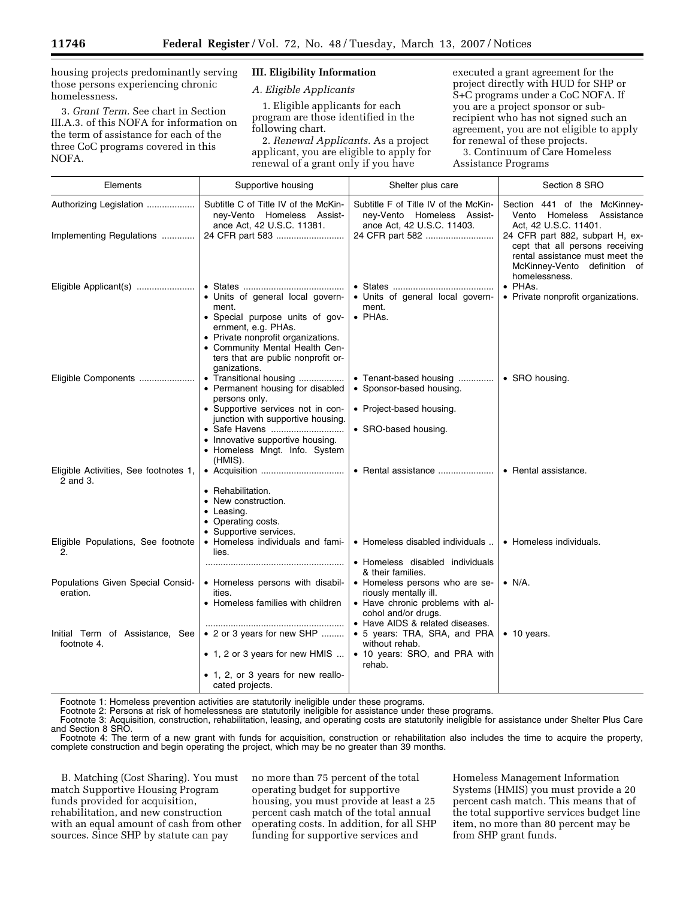housing projects predominantly serving those persons experiencing chronic homelessness.

3. *Grant Term.* See chart in Section III.A.3. of this NOFA for information on the term of assistance for each of the three CoC programs covered in this NOFA.

## **III. Eligibility Information**

*A. Eligible Applicants* 

1. Eligible applicants for each program are those identified in the following chart.

2. *Renewal Applicants.* As a project applicant, you are eligible to apply for renewal of a grant only if you have

executed a grant agreement for the project directly with HUD for SHP or S+C programs under a CoC NOFA. If you are a project sponsor or subrecipient who has not signed such an agreement, you are not eligible to apply for renewal of these projects.

3. Continuum of Care Homeless Assistance Programs

| Elements                                          | Supportive housing                                                                                                                                                                    | Shelter plus care                                                                                        | Section 8 SRO                                                                                                                                             |
|---------------------------------------------------|---------------------------------------------------------------------------------------------------------------------------------------------------------------------------------------|----------------------------------------------------------------------------------------------------------|-----------------------------------------------------------------------------------------------------------------------------------------------------------|
| Authorizing Legislation                           | Subtitle C of Title IV of the McKin-<br>ney-Vento Homeless Assist-<br>ance Act, 42 U.S.C. 11381.                                                                                      | Subtitle F of Title IV of the McKin-<br>ney-Vento Homeless Assist-<br>ance Act, 42 U.S.C. 11403.         | Section 441 of the McKinney-<br>Homeless<br>Assistance<br>Vento<br>Act, 42 U.S.C. 11401.                                                                  |
| Implementing Regulations                          |                                                                                                                                                                                       | 24 CFR part 582                                                                                          | 24 CFR part 882, subpart H, ex-<br>cept that all persons receiving<br>rental assistance must meet the<br>McKinney-Vento<br>definition of<br>homelessness. |
| Eligible Applicant(s)                             | • Units of general local govern-<br>ment.<br>· Special purpose units of gov-<br>ernment, e.g. PHAs.<br>• Private nonprofit organizations.<br>• Community Mental Health Cen-           | • Units of general local govern-<br>ment.<br>$\bullet$ PHAs.                                             | • PHAs.<br>• Private nonprofit organizations.                                                                                                             |
|                                                   | ters that are public nonprofit or-<br>ganizations.                                                                                                                                    |                                                                                                          |                                                                                                                                                           |
| Eligible Components                               | • Transitional housing<br>• Permanent housing for disabled<br>persons only.                                                                                                           | • Tenant-based housing<br>• Sponsor-based housing.                                                       | • SRO housing.                                                                                                                                            |
|                                                   | • Supportive services not in con-<br>junction with supportive housing.                                                                                                                | • Project-based housing.                                                                                 |                                                                                                                                                           |
|                                                   | • Safe Havens<br>• Innovative supportive housing.<br>• Homeless Mngt. Info. System<br>(HMIS).                                                                                         | • SRO-based housing.                                                                                     |                                                                                                                                                           |
| Eligible Activities, See footnotes 1,<br>2 and 3. | • Rehabilitation.<br>• New construction.<br>$\bullet$ Leasing.<br>• Operating costs.                                                                                                  | • Rental assistance                                                                                      | • Rental assistance.                                                                                                                                      |
| Eligible Populations, See footnote<br>2.          | • Supportive services.<br>• Homeless individuals and fami-<br>lies.                                                                                                                   | • Homeless disabled individuals                                                                          | • Homeless individuals.                                                                                                                                   |
|                                                   |                                                                                                                                                                                       | • Homeless disabled individuals<br>& their families.                                                     |                                                                                                                                                           |
| Populations Given Special Consid-<br>eration.     | • Homeless persons with disabil-<br>ities.<br>• Homeless families with children                                                                                                       | • Homeless persons who are se-<br>riously mentally ill.<br>• Have chronic problems with al-              | $\bullet$ N/A.                                                                                                                                            |
| Initial Term of Assistance, See<br>footnote 4.    | • 2 or 3 years for new SHP                                                                                                                                                            | cohol and/or drugs.<br>• Have AIDS & related diseases.<br>• 5 years: TRA, SRA, and PRA<br>without rehab. | $\bullet$ 10 years.                                                                                                                                       |
|                                                   | • 1, 2 or 3 years for new HMIS<br>• 1, 2, or 3 years for new reallo-<br>cated projects.<br>Eastnate 1: Hameless provention estivities are statuterily inclinible under these programs | • 10 years: SRO, and PRA with<br>rehab.                                                                  |                                                                                                                                                           |

Footnote 1: Homeless prevention activities are statutorily ineligible under these programs.

Footnote 2: Persons at risk of homelessness are statutorily ineligible for assistance under these programs.

Footnote 3: Acquisition, construction, rehabilitation, leasing, and operating costs are statutorily ineligible for assistance under Shelter Plus Care and Section 8 SRO.

Footnote 4: The term of a new grant with funds for acquisition, construction or rehabilitation also includes the time to acquire the property, complete construction and begin operating the project, which may be no greater than 39 months.

B. Matching (Cost Sharing). You must match Supportive Housing Program funds provided for acquisition, rehabilitation, and new construction with an equal amount of cash from other sources. Since SHP by statute can pay

no more than 75 percent of the total operating budget for supportive housing, you must provide at least a 25 percent cash match of the total annual operating costs. In addition, for all SHP funding for supportive services and

Homeless Management Information Systems (HMIS) you must provide a 20 percent cash match. This means that of the total supportive services budget line item, no more than 80 percent may be from SHP grant funds.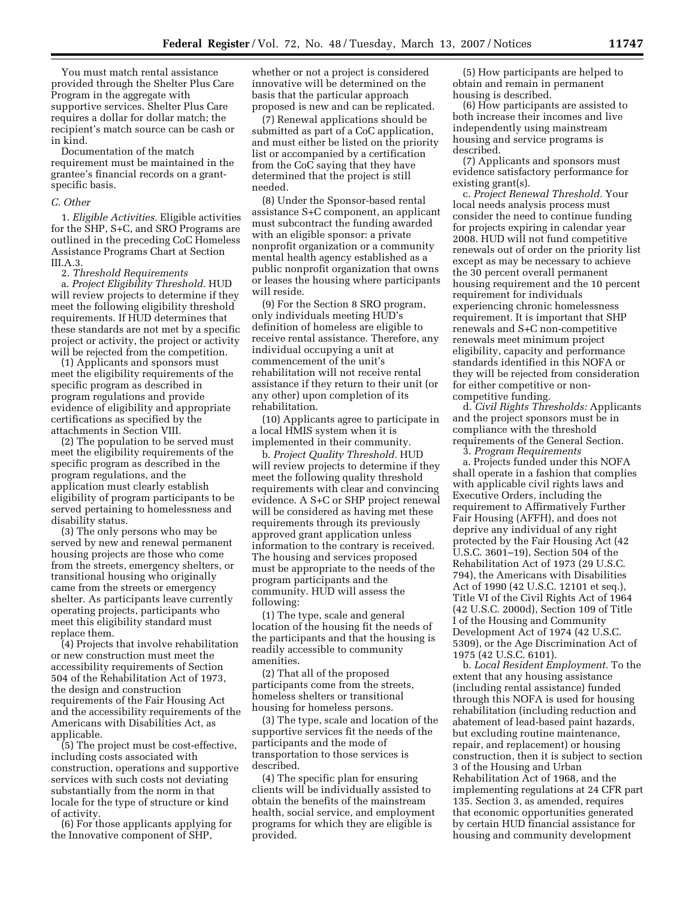You must match rental assistance provided through the Shelter Plus Care Program in the aggregate with supportive services. Shelter Plus Care requires a dollar for dollar match; the recipient's match source can be cash or in kind.

Documentation of the match requirement must be maintained in the grantee's financial records on a grantspecific basis.

#### *C. Other*

1. *Eligible Activities.* Eligible activities for the SHP, S+C, and SRO Programs are outlined in the preceding CoC Homeless Assistance Programs Chart at Section III.A.3.

2. *Threshold Requirements* 

a. *Project Eligibility Threshold.* HUD will review projects to determine if they meet the following eligibility threshold requirements. If HUD determines that these standards are not met by a specific project or activity, the project or activity will be rejected from the competition.

(1) Applicants and sponsors must meet the eligibility requirements of the specific program as described in program regulations and provide evidence of eligibility and appropriate certifications as specified by the attachments in Section VIII.

(2) The population to be served must meet the eligibility requirements of the specific program as described in the program regulations, and the application must clearly establish eligibility of program participants to be served pertaining to homelessness and disability status.

(3) The only persons who may be served by new and renewal permanent housing projects are those who come from the streets, emergency shelters, or transitional housing who originally came from the streets or emergency shelter. As participants leave currently operating projects, participants who meet this eligibility standard must replace them.

(4) Projects that involve rehabilitation or new construction must meet the accessibility requirements of Section 504 of the Rehabilitation Act of 1973, the design and construction requirements of the Fair Housing Act and the accessibility requirements of the Americans with Disabilities Act, as applicable.

(5) The project must be cost-effective, including costs associated with construction, operations and supportive services with such costs not deviating substantially from the norm in that locale for the type of structure or kind of activity.

(6) For those applicants applying for the Innovative component of SHP,

whether or not a project is considered innovative will be determined on the basis that the particular approach proposed is new and can be replicated.

(7) Renewal applications should be submitted as part of a CoC application, and must either be listed on the priority list or accompanied by a certification from the CoC saying that they have determined that the project is still needed.

(8) Under the Sponsor-based rental assistance S+C component, an applicant must subcontract the funding awarded with an eligible sponsor: a private nonprofit organization or a community mental health agency established as a public nonprofit organization that owns or leases the housing where participants will reside.

(9) For the Section 8 SRO program, only individuals meeting HUD's definition of homeless are eligible to receive rental assistance. Therefore, any individual occupying a unit at commencement of the unit's rehabilitation will not receive rental assistance if they return to their unit (or any other) upon completion of its rehabilitation.

(10) Applicants agree to participate in a local HMIS system when it is implemented in their community.

b. *Project Quality Threshold.* HUD will review projects to determine if they meet the following quality threshold requirements with clear and convincing evidence. A S+C or SHP project renewal will be considered as having met these requirements through its previously approved grant application unless information to the contrary is received. The housing and services proposed must be appropriate to the needs of the program participants and the community. HUD will assess the following:

(1) The type, scale and general location of the housing fit the needs of the participants and that the housing is readily accessible to community amenities.

(2) That all of the proposed participants come from the streets, homeless shelters or transitional housing for homeless persons.

(3) The type, scale and location of the supportive services fit the needs of the participants and the mode of transportation to those services is described.

(4) The specific plan for ensuring clients will be individually assisted to obtain the benefits of the mainstream health, social service, and employment programs for which they are eligible is provided.

(5) How participants are helped to obtain and remain in permanent housing is described.

(6) How participants are assisted to both increase their incomes and live independently using mainstream housing and service programs is described.

(7) Applicants and sponsors must evidence satisfactory performance for existing grant(s).

c. *Project Renewal Threshold.* Your local needs analysis process must consider the need to continue funding for projects expiring in calendar year 2008. HUD will not fund competitive renewals out of order on the priority list except as may be necessary to achieve the 30 percent overall permanent housing requirement and the 10 percent requirement for individuals experiencing chronic homelessness requirement. It is important that SHP renewals and S+C non-competitive renewals meet minimum project eligibility, capacity and performance standards identified in this NOFA or they will be rejected from consideration for either competitive or noncompetitive funding.

d. *Civil Rights Thresholds:* Applicants and the project sponsors must be in compliance with the threshold requirements of the General Section.

3. *Program Requirements* 

a. Projects funded under this NOFA shall operate in a fashion that complies with applicable civil rights laws and Executive Orders, including the requirement to Affirmatively Further Fair Housing (AFFH), and does not deprive any individual of any right protected by the Fair Housing Act (42 U.S.C. 3601–19), Section 504 of the Rehabilitation Act of 1973 (29 U.S.C. 794), the Americans with Disabilities Act of 1990 (42 U.S.C. 12101 et seq.), Title VI of the Civil Rights Act of 1964 (42 U.S.C. 2000d), Section 109 of Title I of the Housing and Community Development Act of 1974 (42 U.S.C. 5309), or the Age Discrimination Act of 1975 (42 U.S.C. 6101).

b. *Local Resident Employment.* To the extent that any housing assistance (including rental assistance) funded through this NOFA is used for housing rehabilitation (including reduction and abatement of lead-based paint hazards, but excluding routine maintenance, repair, and replacement) or housing construction, then it is subject to section 3 of the Housing and Urban Rehabilitation Act of 1968, and the implementing regulations at 24 CFR part 135. Section 3, as amended, requires that economic opportunities generated by certain HUD financial assistance for housing and community development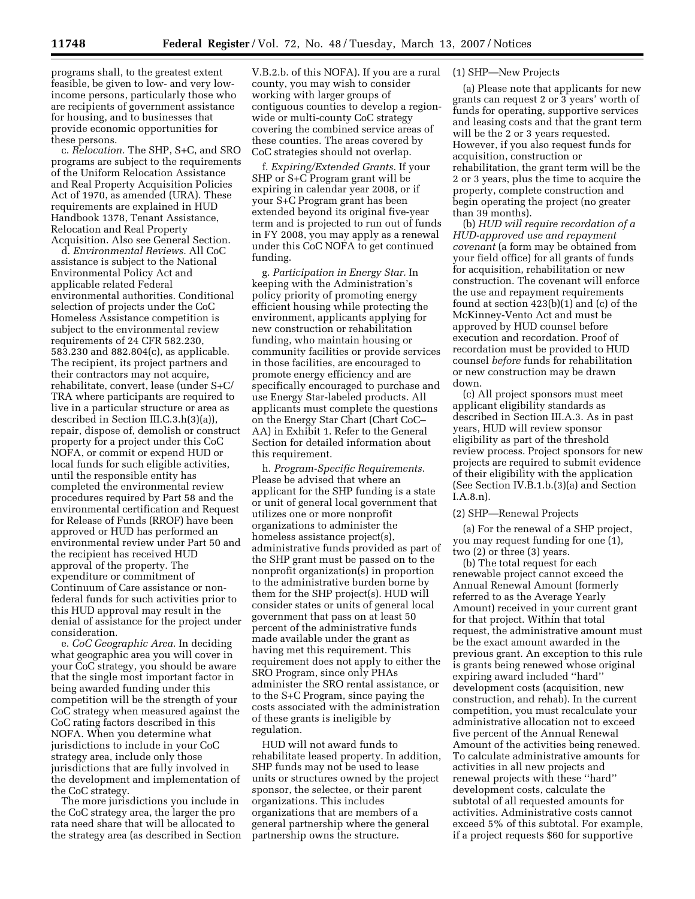programs shall, to the greatest extent feasible, be given to low- and very lowincome persons, particularly those who are recipients of government assistance for housing, and to businesses that provide economic opportunities for these persons.

c. *Relocation.* The SHP, S+C, and SRO programs are subject to the requirements of the Uniform Relocation Assistance and Real Property Acquisition Policies Act of 1970, as amended (URA). These requirements are explained in HUD Handbook 1378, Tenant Assistance, Relocation and Real Property Acquisition. Also see General Section.

d. *Environmental Reviews.* All CoC assistance is subject to the National Environmental Policy Act and applicable related Federal environmental authorities. Conditional selection of projects under the CoC Homeless Assistance competition is subject to the environmental review requirements of 24 CFR 582.230, 583.230 and 882.804(c), as applicable. The recipient, its project partners and their contractors may not acquire, rehabilitate, convert, lease (under S+C/ TRA where participants are required to live in a particular structure or area as described in Section III.C.3.h(3)(a)), repair, dispose of, demolish or construct property for a project under this CoC NOFA, or commit or expend HUD or local funds for such eligible activities, until the responsible entity has completed the environmental review procedures required by Part 58 and the environmental certification and Request for Release of Funds (RROF) have been approved or HUD has performed an environmental review under Part 50 and the recipient has received HUD approval of the property. The expenditure or commitment of Continuum of Care assistance or nonfederal funds for such activities prior to this HUD approval may result in the denial of assistance for the project under consideration.

e. *CoC Geographic Area.* In deciding what geographic area you will cover in your CoC strategy, you should be aware that the single most important factor in being awarded funding under this competition will be the strength of your CoC strategy when measured against the CoC rating factors described in this NOFA. When you determine what jurisdictions to include in your CoC strategy area, include only those jurisdictions that are fully involved in the development and implementation of the CoC strategy.

The more jurisdictions you include in the CoC strategy area, the larger the pro rata need share that will be allocated to the strategy area (as described in Section

V.B.2.b. of this NOFA). If you are a rural county, you may wish to consider working with larger groups of contiguous counties to develop a regionwide or multi-county CoC strategy covering the combined service areas of these counties. The areas covered by CoC strategies should not overlap.

f. *Expiring/Extended Grants.* If your SHP or S+C Program grant will be expiring in calendar year 2008, or if your S+C Program grant has been extended beyond its original five-year term and is projected to run out of funds in FY 2008, you may apply as a renewal under this CoC NOFA to get continued funding.

g. *Participation in Energy Star.* In keeping with the Administration's policy priority of promoting energy efficient housing while protecting the environment, applicants applying for new construction or rehabilitation funding, who maintain housing or community facilities or provide services in those facilities, are encouraged to promote energy efficiency and are specifically encouraged to purchase and use Energy Star-labeled products. All applicants must complete the questions on the Energy Star Chart (Chart CoC– AA) in Exhibit 1. Refer to the General Section for detailed information about this requirement.

h. *Program-Specific Requirements.*  Please be advised that where an applicant for the SHP funding is a state or unit of general local government that utilizes one or more nonprofit organizations to administer the homeless assistance project(s), administrative funds provided as part of the SHP grant must be passed on to the nonprofit organization(s) in proportion to the administrative burden borne by them for the SHP project(s). HUD will consider states or units of general local government that pass on at least 50 percent of the administrative funds made available under the grant as having met this requirement. This requirement does not apply to either the SRO Program, since only PHAs administer the SRO rental assistance, or to the S+C Program, since paying the costs associated with the administration of these grants is ineligible by regulation.

HUD will not award funds to rehabilitate leased property. In addition, SHP funds may not be used to lease units or structures owned by the project sponsor, the selectee, or their parent organizations. This includes organizations that are members of a general partnership where the general partnership owns the structure.

## (1) SHP—New Projects

(a) Please note that applicants for new grants can request 2 or 3 years' worth of funds for operating, supportive services and leasing costs and that the grant term will be the 2 or 3 years requested. However, if you also request funds for acquisition, construction or rehabilitation, the grant term will be the 2 or 3 years, plus the time to acquire the property, complete construction and begin operating the project (no greater than 39 months).

(b) *HUD will require recordation of a HUD-approved use and repayment covenant* (a form may be obtained from your field office) for all grants of funds for acquisition, rehabilitation or new construction. The covenant will enforce the use and repayment requirements found at section 423(b)(1) and (c) of the McKinney-Vento Act and must be approved by HUD counsel before execution and recordation. Proof of recordation must be provided to HUD counsel *before* funds for rehabilitation or new construction may be drawn down.

(c) All project sponsors must meet applicant eligibility standards as described in Section III.A.3. As in past years, HUD will review sponsor eligibility as part of the threshold review process. Project sponsors for new projects are required to submit evidence of their eligibility with the application (See Section IV.B.1.b.(3)(a) and Section I.A.8.n).

#### (2) SHP—Renewal Projects

(a) For the renewal of a SHP project, you may request funding for one (1), two (2) or three (3) years.

(b) The total request for each renewable project cannot exceed the Annual Renewal Amount (formerly referred to as the Average Yearly Amount) received in your current grant for that project. Within that total request, the administrative amount must be the exact amount awarded in the previous grant. An exception to this rule is grants being renewed whose original expiring award included ''hard'' development costs (acquisition, new construction, and rehab). In the current competition, you must recalculate your administrative allocation not to exceed five percent of the Annual Renewal Amount of the activities being renewed. To calculate administrative amounts for activities in all new projects and renewal projects with these ''hard'' development costs, calculate the subtotal of all requested amounts for activities. Administrative costs cannot exceed 5% of this subtotal. For example, if a project requests \$60 for supportive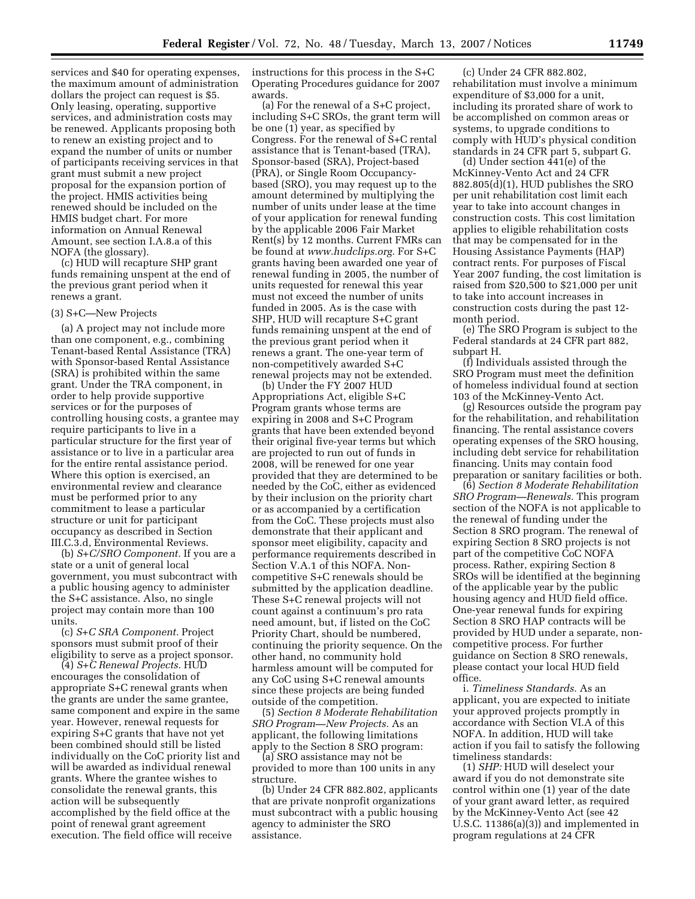services and \$40 for operating expenses, the maximum amount of administration dollars the project can request is \$5. Only leasing, operating, supportive services, and administration costs may be renewed. Applicants proposing both to renew an existing project and to expand the number of units or number of participants receiving services in that grant must submit a new project proposal for the expansion portion of the project. HMIS activities being renewed should be included on the HMIS budget chart. For more information on Annual Renewal Amount, see section I.A.8.a of this NOFA (the glossary).

(c) HUD will recapture SHP grant funds remaining unspent at the end of the previous grant period when it renews a grant.

#### (3) S+C—New Projects

(a) A project may not include more than one component, e.g., combining Tenant-based Rental Assistance (TRA) with Sponsor-based Rental Assistance (SRA) is prohibited within the same grant. Under the TRA component, in order to help provide supportive services or for the purposes of controlling housing costs, a grantee may require participants to live in a particular structure for the first year of assistance or to live in a particular area for the entire rental assistance period. Where this option is exercised, an environmental review and clearance must be performed prior to any commitment to lease a particular structure or unit for participant occupancy as described in Section III.C.3.d, Environmental Reviews.

(b) *S+C/SRO Component.* If you are a state or a unit of general local government, you must subcontract with a public housing agency to administer the S+C assistance. Also, no single project may contain more than 100 units.

(c) *S+C SRA Component.* Project sponsors must submit proof of their eligibility to serve as a project sponsor.

(4) *S+C Renewal Projects.* HUD encourages the consolidation of appropriate S+C renewal grants when the grants are under the same grantee, same component and expire in the same year. However, renewal requests for expiring S+C grants that have not yet been combined should still be listed individually on the CoC priority list and will be awarded as individual renewal grants. Where the grantee wishes to consolidate the renewal grants, this action will be subsequently accomplished by the field office at the point of renewal grant agreement execution. The field office will receive

instructions for this process in the S+C Operating Procedures guidance for 2007 awards.

(a) For the renewal of a S+C project, including S+C SROs, the grant term will be one (1) year, as specified by Congress. For the renewal of S+C rental assistance that is Tenant-based (TRA), Sponsor-based (SRA), Project-based (PRA), or Single Room Occupancybased (SRO), you may request up to the amount determined by multiplying the number of units under lease at the time of your application for renewal funding by the applicable 2006 Fair Market Rent(s) by 12 months. Current FMRs can be found at *www.hudclips.org.* For S+C grants having been awarded one year of renewal funding in 2005, the number of units requested for renewal this year must not exceed the number of units funded in 2005. As is the case with SHP, HUD will recapture S+C grant funds remaining unspent at the end of the previous grant period when it renews a grant. The one-year term of non-competitively awarded S+C renewal projects may not be extended.

(b) Under the FY 2007 HUD Appropriations Act, eligible S+C Program grants whose terms are expiring in 2008 and S+C Program grants that have been extended beyond their original five-year terms but which are projected to run out of funds in 2008, will be renewed for one year provided that they are determined to be needed by the CoC, either as evidenced by their inclusion on the priority chart or as accompanied by a certification from the CoC. These projects must also demonstrate that their applicant and sponsor meet eligibility, capacity and performance requirements described in Section V.A.1 of this NOFA. Noncompetitive S+C renewals should be submitted by the application deadline. These S+C renewal projects will not count against a continuum's pro rata need amount, but, if listed on the CoC Priority Chart, should be numbered, continuing the priority sequence. On the other hand, no community hold harmless amount will be computed for any CoC using S+C renewal amounts since these projects are being funded outside of the competition.

(5) *Section 8 Moderate Rehabilitation SRO Program—New Projects.* As an applicant, the following limitations apply to the Section 8 SRO program:

(a) SRO assistance may not be provided to more than 100 units in any structure.

(b) Under 24 CFR 882.802, applicants that are private nonprofit organizations must subcontract with a public housing agency to administer the SRO assistance.

(c) Under 24 CFR 882.802, rehabilitation must involve a minimum expenditure of \$3,000 for a unit, including its prorated share of work to be accomplished on common areas or systems, to upgrade conditions to comply with HUD's physical condition standards in 24 CFR part 5, subpart G.

(d) Under section 441(e) of the McKinney-Vento Act and 24 CFR 882.805(d)(1), HUD publishes the SRO per unit rehabilitation cost limit each year to take into account changes in construction costs. This cost limitation applies to eligible rehabilitation costs that may be compensated for in the Housing Assistance Payments (HAP) contract rents. For purposes of Fiscal Year 2007 funding, the cost limitation is raised from \$20,500 to \$21,000 per unit to take into account increases in construction costs during the past 12 month period.

(e) The SRO Program is subject to the Federal standards at 24 CFR part 882, subpart H.

(f) Individuals assisted through the SRO Program must meet the definition of homeless individual found at section 103 of the McKinney-Vento Act.

(g) Resources outside the program pay for the rehabilitation, and rehabilitation financing. The rental assistance covers operating expenses of the SRO housing, including debt service for rehabilitation financing. Units may contain food preparation or sanitary facilities or both.

(6) *Section 8 Moderate Rehabilitation SRO Program—Renewals.* This program section of the NOFA is not applicable to the renewal of funding under the Section 8 SRO program. The renewal of expiring Section 8 SRO projects is not part of the competitive CoC NOFA process. Rather, expiring Section 8 SROs will be identified at the beginning of the applicable year by the public housing agency and HUD field office. One-year renewal funds for expiring Section 8 SRO HAP contracts will be provided by HUD under a separate, noncompetitive process. For further guidance on Section 8 SRO renewals, please contact your local HUD field office.

i. *Timeliness Standards.* As an applicant, you are expected to initiate your approved projects promptly in accordance with Section VI.A of this NOFA. In addition, HUD will take action if you fail to satisfy the following timeliness standards:

(1) *SHP:* HUD will deselect your award if you do not demonstrate site control within one (1) year of the date of your grant award letter, as required by the McKinney-Vento Act (see 42 U.S.C. 11386(a)(3)) and implemented in program regulations at 24 CFR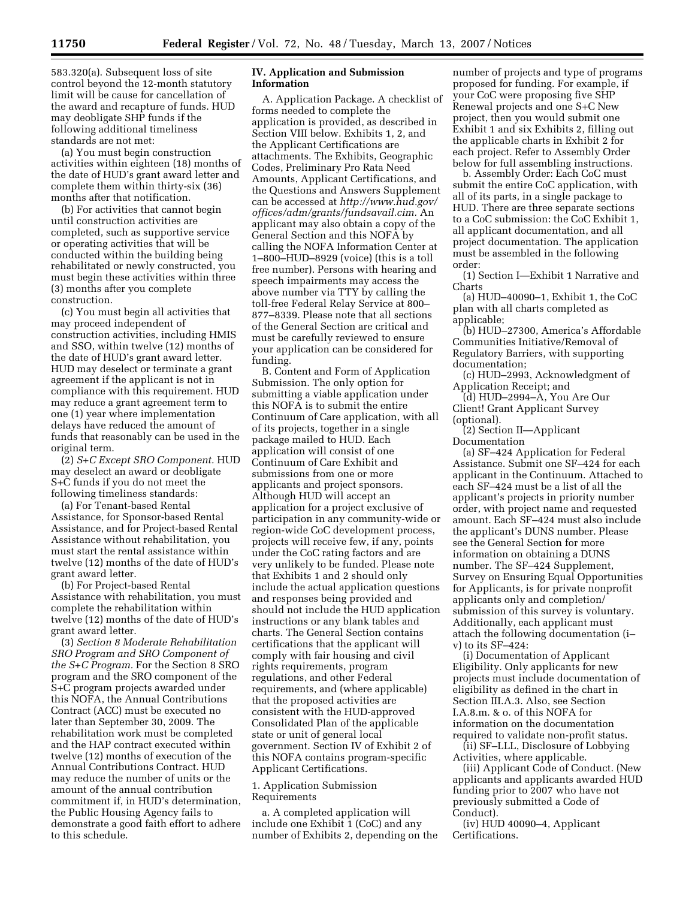583.320(a). Subsequent loss of site control beyond the 12-month statutory limit will be cause for cancellation of the award and recapture of funds. HUD may deobligate SHP funds if the following additional timeliness standards are not met:

(a) You must begin construction activities within eighteen (18) months of the date of HUD's grant award letter and complete them within thirty-six (36) months after that notification.

(b) For activities that cannot begin until construction activities are completed, such as supportive service or operating activities that will be conducted within the building being rehabilitated or newly constructed, you must begin these activities within three (3) months after you complete construction.

(c) You must begin all activities that may proceed independent of construction activities, including HMIS and SSO, within twelve (12) months of the date of HUD's grant award letter. HUD may deselect or terminate a grant agreement if the applicant is not in compliance with this requirement. HUD may reduce a grant agreement term to one (1) year where implementation delays have reduced the amount of funds that reasonably can be used in the original term.

(2) *S+C Except SRO Component.* HUD may deselect an award or deobligate S+C funds if you do not meet the following timeliness standards:

(a) For Tenant-based Rental Assistance, for Sponsor-based Rental Assistance, and for Project-based Rental Assistance without rehabilitation, you must start the rental assistance within twelve (12) months of the date of HUD's grant award letter.

(b) For Project-based Rental Assistance with rehabilitation, you must complete the rehabilitation within twelve (12) months of the date of HUD's grant award letter.

(3) *Section 8 Moderate Rehabilitation SRO Program and SRO Component of the S+C Program.* For the Section 8 SRO program and the SRO component of the S+C program projects awarded under this NOFA, the Annual Contributions Contract (ACC) must be executed no later than September 30, 2009. The rehabilitation work must be completed and the HAP contract executed within twelve (12) months of execution of the Annual Contributions Contract. HUD may reduce the number of units or the amount of the annual contribution commitment if, in HUD's determination, the Public Housing Agency fails to demonstrate a good faith effort to adhere to this schedule.

## **IV. Application and Submission Information**

A. Application Package. A checklist of forms needed to complete the application is provided, as described in Section VIII below. Exhibits 1, 2, and the Applicant Certifications are attachments. The Exhibits, Geographic Codes, Preliminary Pro Rata Need Amounts, Applicant Certifications, and the Questions and Answers Supplement can be accessed at *http://www.hud.gov/ offices/adm/grants/fundsavail.cim.* An applicant may also obtain a copy of the General Section and this NOFA by calling the NOFA Information Center at 1–800–HUD–8929 (voice) (this is a toll free number). Persons with hearing and speech impairments may access the above number via TTY by calling the toll-free Federal Relay Service at 800– 877–8339. Please note that all sections of the General Section are critical and must be carefully reviewed to ensure your application can be considered for funding.

B. Content and Form of Application Submission. The only option for submitting a viable application under this NOFA is to submit the entire Continuum of Care application, with all of its projects, together in a single package mailed to HUD. Each application will consist of one Continuum of Care Exhibit and submissions from one or more applicants and project sponsors. Although HUD will accept an application for a project exclusive of participation in any community-wide or region-wide CoC development process, projects will receive few, if any, points under the CoC rating factors and are very unlikely to be funded. Please note that Exhibits 1 and 2 should only include the actual application questions and responses being provided and should not include the HUD application instructions or any blank tables and charts. The General Section contains certifications that the applicant will comply with fair housing and civil rights requirements, program regulations, and other Federal requirements, and (where applicable) that the proposed activities are consistent with the HUD-approved Consolidated Plan of the applicable state or unit of general local government. Section IV of Exhibit 2 of this NOFA contains program-specific Applicant Certifications.

## 1. Application Submission Requirements

a. A completed application will include one Exhibit 1 (CoC) and any number of Exhibits 2, depending on the number of projects and type of programs proposed for funding. For example, if your CoC were proposing five SHP Renewal projects and one S+C New project, then you would submit one Exhibit 1 and six Exhibits 2, filling out the applicable charts in Exhibit 2 for each project. Refer to Assembly Order below for full assembling instructions.

b. Assembly Order: Each CoC must submit the entire CoC application, with all of its parts, in a single package to HUD. There are three separate sections to a CoC submission: the CoC Exhibit 1, all applicant documentation, and all project documentation. The application must be assembled in the following order:

(1) Section I—Exhibit 1 Narrative and Charts

(a) HUD–40090–1, Exhibit 1, the CoC plan with all charts completed as applicable;

(b) HUD–27300, America's Affordable Communities Initiative/Removal of Regulatory Barriers, with supporting documentation;

(c) HUD–2993, Acknowledgment of Application Receipt; and

(d) HUD–2994–A, You Are Our Client! Grant Applicant Survey (optional).

(2) Section II—Applicant Documentation

(a) SF–424 Application for Federal Assistance. Submit one SF–424 for each applicant in the Continuum. Attached to each SF–424 must be a list of all the applicant's projects in priority number order, with project name and requested amount. Each SF–424 must also include the applicant's DUNS number. Please see the General Section for more information on obtaining a DUNS number. The SF–424 Supplement, Survey on Ensuring Equal Opportunities for Applicants, is for private nonprofit applicants only and completion/ submission of this survey is voluntary. Additionally, each applicant must attach the following documentation (i– v) to its SF–424:

(i) Documentation of Applicant Eligibility. Only applicants for new projects must include documentation of eligibility as defined in the chart in Section III.A.3. Also, see Section I.A.8.m. & o. of this NOFA for information on the documentation required to validate non-profit status.

(ii) SF–LLL, Disclosure of Lobbying Activities, where applicable.

(iii) Applicant Code of Conduct. (New applicants and applicants awarded HUD funding prior to 2007 who have not previously submitted a Code of Conduct).

(iv) HUD 40090–4, Applicant Certifications.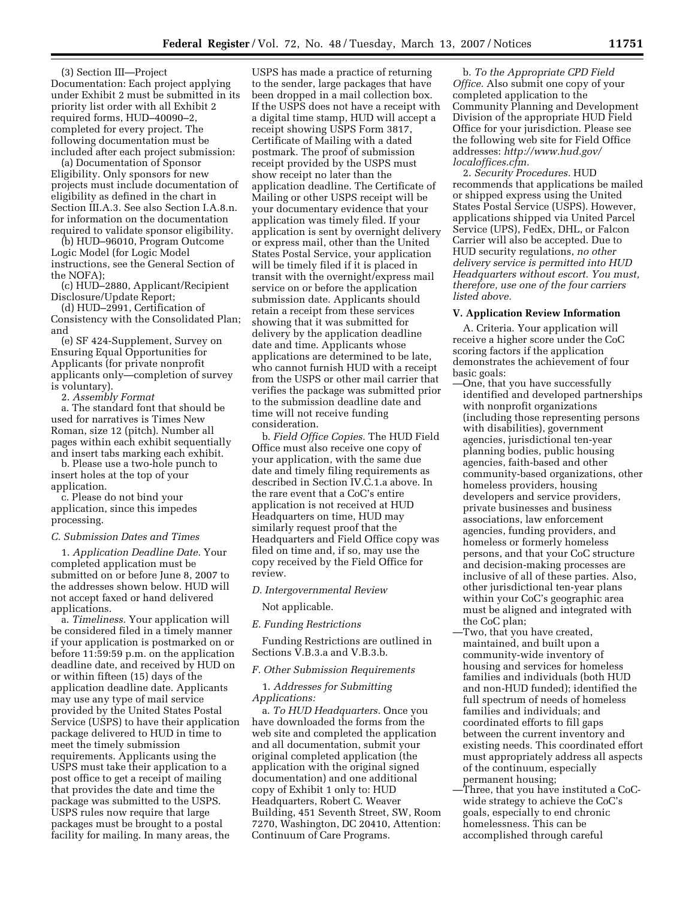(3) Section III—Project Documentation: Each project applying under Exhibit 2 must be submitted in its priority list order with all Exhibit 2 required forms, HUD–40090–2, completed for every project. The following documentation must be included after each project submission:

(a) Documentation of Sponsor Eligibility. Only sponsors for new projects must include documentation of eligibility as defined in the chart in Section III.A.3. See also Section I.A.8.n. for information on the documentation required to validate sponsor eligibility.

(b) HUD–96010, Program Outcome Logic Model (for Logic Model instructions, see the General Section of the NOFA);

(c) HUD–2880, Applicant/Recipient Disclosure/Update Report;

(d) HUD–2991, Certification of Consistency with the Consolidated Plan; and

(e) SF 424-Supplement, Survey on Ensuring Equal Opportunities for Applicants (for private nonprofit applicants only—completion of survey is voluntary).

2. *Assembly Format* 

a. The standard font that should be used for narratives is Times New Roman, size 12 (pitch). Number all pages within each exhibit sequentially and insert tabs marking each exhibit.

b. Please use a two-hole punch to insert holes at the top of your application.

c. Please do not bind your application, since this impedes processing.

## *C. Submission Dates and Times*

1. *Application Deadline Date.* Your completed application must be submitted on or before June 8, 2007 to the addresses shown below. HUD will not accept faxed or hand delivered applications.

a. *Timeliness.* Your application will be considered filed in a timely manner if your application is postmarked on or before 11:59:59 p.m. on the application deadline date, and received by HUD on or within fifteen (15) days of the application deadline date. Applicants may use any type of mail service provided by the United States Postal Service (USPS) to have their application package delivered to HUD in time to meet the timely submission requirements. Applicants using the USPS must take their application to a post office to get a receipt of mailing that provides the date and time the package was submitted to the USPS. USPS rules now require that large packages must be brought to a postal facility for mailing. In many areas, the

USPS has made a practice of returning to the sender, large packages that have been dropped in a mail collection box. If the USPS does not have a receipt with a digital time stamp, HUD will accept a receipt showing USPS Form 3817, Certificate of Mailing with a dated postmark. The proof of submission receipt provided by the USPS must show receipt no later than the application deadline. The Certificate of Mailing or other USPS receipt will be your documentary evidence that your application was timely filed. If your application is sent by overnight delivery or express mail, other than the United States Postal Service, your application will be timely filed if it is placed in transit with the overnight/express mail service on or before the application submission date. Applicants should retain a receipt from these services showing that it was submitted for delivery by the application deadline date and time. Applicants whose applications are determined to be late, who cannot furnish HUD with a receipt from the USPS or other mail carrier that verifies the package was submitted prior to the submission deadline date and time will not receive funding consideration.

b. *Field Office Copies.* The HUD Field Office must also receive one copy of your application, with the same due date and timely filing requirements as described in Section IV.C.1.a above. In the rare event that a CoC's entire application is not received at HUD Headquarters on time, HUD may similarly request proof that the Headquarters and Field Office copy was filed on time and, if so, may use the copy received by the Field Office for review.

## *D. Intergovernmental Review*

Not applicable.

#### *E. Funding Restrictions*

Funding Restrictions are outlined in Sections V.B.3.a and V.B.3.b.

*F. Other Submission Requirements* 

1. *Addresses for Submitting Applications:* 

a. *To HUD Headquarters.* Once you have downloaded the forms from the web site and completed the application and all documentation, submit your original completed application (the application with the original signed documentation) and one additional copy of Exhibit 1 only to: HUD Headquarters, Robert C. Weaver Building, 451 Seventh Street, SW, Room 7270, Washington, DC 20410, Attention: Continuum of Care Programs.

b. *To the Appropriate CPD Field Office.* Also submit one copy of your completed application to the Community Planning and Development Division of the appropriate HUD Field Office for your jurisdiction. Please see the following web site for Field Office addresses: *http://www.hud.gov/ localoffices.cfm.* 

2. *Security Procedures.* HUD recommends that applications be mailed or shipped express using the United States Postal Service (USPS). However, applications shipped via United Parcel Service (UPS), FedEx, DHL, or Falcon Carrier will also be accepted. Due to HUD security regulations, *no other delivery service is permitted into HUD Headquarters without escort. You must, therefore, use one of the four carriers listed above.* 

#### **V. Application Review Information**

A. Criteria. Your application will receive a higher score under the CoC scoring factors if the application demonstrates the achievement of four basic goals:

- —One, that you have successfully identified and developed partnerships with nonprofit organizations (including those representing persons with disabilities), government agencies, jurisdictional ten-year planning bodies, public housing agencies, faith-based and other community-based organizations, other homeless providers, housing developers and service providers, private businesses and business associations, law enforcement agencies, funding providers, and homeless or formerly homeless persons, and that your CoC structure and decision-making processes are inclusive of all of these parties. Also, other jurisdictional ten-year plans within your CoC's geographic area must be aligned and integrated with the CoC plan;
- —Two, that you have created, maintained, and built upon a community-wide inventory of housing and services for homeless families and individuals (both HUD and non-HUD funded); identified the full spectrum of needs of homeless families and individuals; and coordinated efforts to fill gaps between the current inventory and existing needs. This coordinated effort must appropriately address all aspects of the continuum, especially permanent housing;
- —Three, that you have instituted a CoCwide strategy to achieve the CoC's goals, especially to end chronic homelessness. This can be accomplished through careful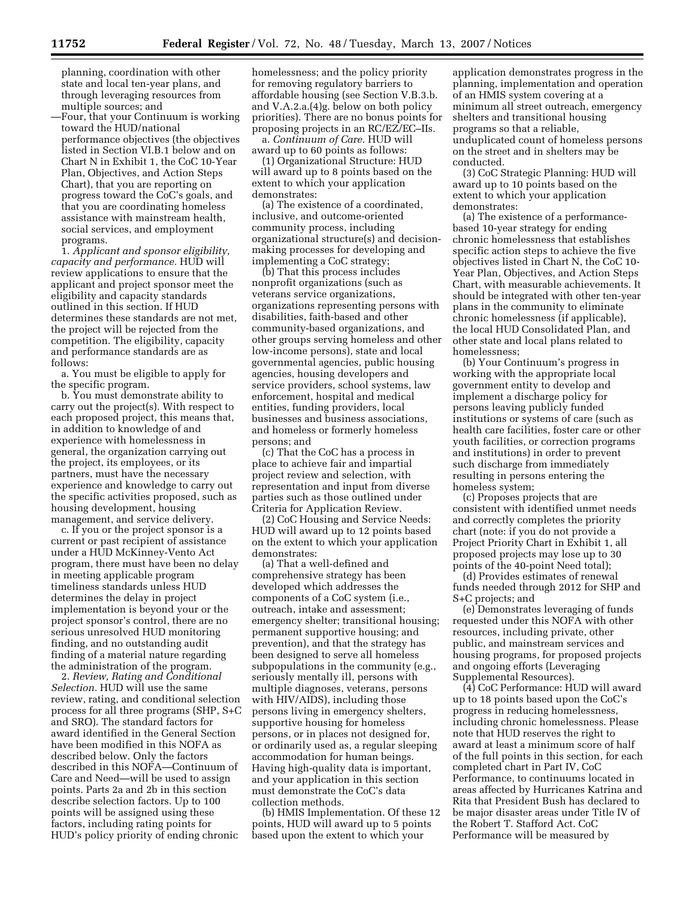planning, coordination with other state and local ten-year plans, and through leveraging resources from multiple sources; and

—Four, that your Continuum is working toward the HUD/national performance objectives (the objectives listed in Section VI.B.1 below and on Chart N in Exhibit 1, the CoC 10-Year Plan, Objectives, and Action Steps Chart), that you are reporting on progress toward the CoC's goals, and that you are coordinating homeless assistance with mainstream health, social services, and employment programs.

1. *Applicant and sponsor eligibility, capacity and performance.* HUD will review applications to ensure that the applicant and project sponsor meet the eligibility and capacity standards outlined in this section. If HUD determines these standards are not met, the project will be rejected from the competition. The eligibility, capacity and performance standards are as follows:

a. You must be eligible to apply for the specific program.

b. You must demonstrate ability to carry out the project(s). With respect to each proposed project, this means that, in addition to knowledge of and experience with homelessness in general, the organization carrying out the project, its employees, or its partners, must have the necessary experience and knowledge to carry out the specific activities proposed, such as housing development, housing management, and service delivery.

c. If you or the project sponsor is a current or past recipient of assistance under a HUD McKinney-Vento Act program, there must have been no delay in meeting applicable program timeliness standards unless HUD determines the delay in project implementation is beyond your or the project sponsor's control, there are no serious unresolved HUD monitoring finding, and no outstanding audit finding of a material nature regarding the administration of the program.

2. *Review, Rating and Conditional Selection.* HUD will use the same review, rating, and conditional selection process for all three programs (SHP, S+C and SRO). The standard factors for award identified in the General Section have been modified in this NOFA as described below. Only the factors described in this NOFA—Continuum of Care and Need—will be used to assign points. Parts 2a and 2b in this section describe selection factors. Up to 100 points will be assigned using these factors, including rating points for HUD's policy priority of ending chronic

homelessness; and the policy priority for removing regulatory barriers to affordable housing (see Section V.B.3.b. and V.A.2.a.(4)g. below on both policy priorities). There are no bonus points for proposing projects in an RC/EZ/EC–IIs.

a. *Continuum of Care.* HUD will award up to 60 points as follows:

(1) Organizational Structure: HUD will award up to 8 points based on the extent to which your application demonstrates:

(a) The existence of a coordinated, inclusive, and outcome-oriented community process, including organizational structure(s) and decisionmaking processes for developing and implementing a CoC strategy;

(b) That this process includes nonprofit organizations (such as veterans service organizations, organizations representing persons with disabilities, faith-based and other community-based organizations, and other groups serving homeless and other low-income persons), state and local governmental agencies, public housing agencies, housing developers and service providers, school systems, law enforcement, hospital and medical entities, funding providers, local businesses and business associations, and homeless or formerly homeless persons; and

(c) That the CoC has a process in place to achieve fair and impartial project review and selection, with representation and input from diverse parties such as those outlined under Criteria for Application Review.

(2) CoC Housing and Service Needs: HUD will award up to 12 points based on the extent to which your application demonstrates:

(a) That a well-defined and comprehensive strategy has been developed which addresses the components of a CoC system (i.e., outreach, intake and assessment; emergency shelter; transitional housing; permanent supportive housing; and prevention), and that the strategy has been designed to serve all homeless subpopulations in the community (e.g., seriously mentally ill, persons with multiple diagnoses, veterans, persons with HIV/AIDS), including those persons living in emergency shelters, supportive housing for homeless persons, or in places not designed for, or ordinarily used as, a regular sleeping accommodation for human beings. Having high-quality data is important, and your application in this section must demonstrate the CoC's data collection methods.

(b) HMIS Implementation. Of these 12 points, HUD will award up to 5 points based upon the extent to which your

application demonstrates progress in the planning, implementation and operation of an HMIS system covering at a minimum all street outreach, emergency shelters and transitional housing programs so that a reliable, unduplicated count of homeless persons on the street and in shelters may be conducted.

(3) CoC Strategic Planning: HUD will award up to 10 points based on the extent to which your application demonstrates:

(a) The existence of a performancebased 10-year strategy for ending chronic homelessness that establishes specific action steps to achieve the five objectives listed in Chart N, the CoC 10- Year Plan, Objectives, and Action Steps Chart, with measurable achievements. It should be integrated with other ten-year plans in the community to eliminate chronic homelessness (if applicable), the local HUD Consolidated Plan, and other state and local plans related to homelessness;

(b) Your Continuum's progress in working with the appropriate local government entity to develop and implement a discharge policy for persons leaving publicly funded institutions or systems of care (such as health care facilities, foster care or other youth facilities, or correction programs and institutions) in order to prevent such discharge from immediately resulting in persons entering the homeless system;

(c) Proposes projects that are consistent with identified unmet needs and correctly completes the priority chart (note: if you do not provide a Project Priority Chart in Exhibit 1, all proposed projects may lose up to 30 points of the 40-point Need total);

(d) Provides estimates of renewal funds needed through 2012 for SHP and S+C projects; and

(e) Demonstrates leveraging of funds requested under this NOFA with other resources, including private, other public, and mainstream services and housing programs, for proposed projects and ongoing efforts (Leveraging Supplemental Resources).

(4) CoC Performance: HUD will award up to 18 points based upon the CoC's progress in reducing homelessness, including chronic homelessness. Please note that HUD reserves the right to award at least a minimum score of half of the full points in this section, for each completed chart in Part IV, CoC Performance, to continuums located in areas affected by Hurricanes Katrina and Rita that President Bush has declared to be major disaster areas under Title IV of the Robert T. Stafford Act. CoC Performance will be measured by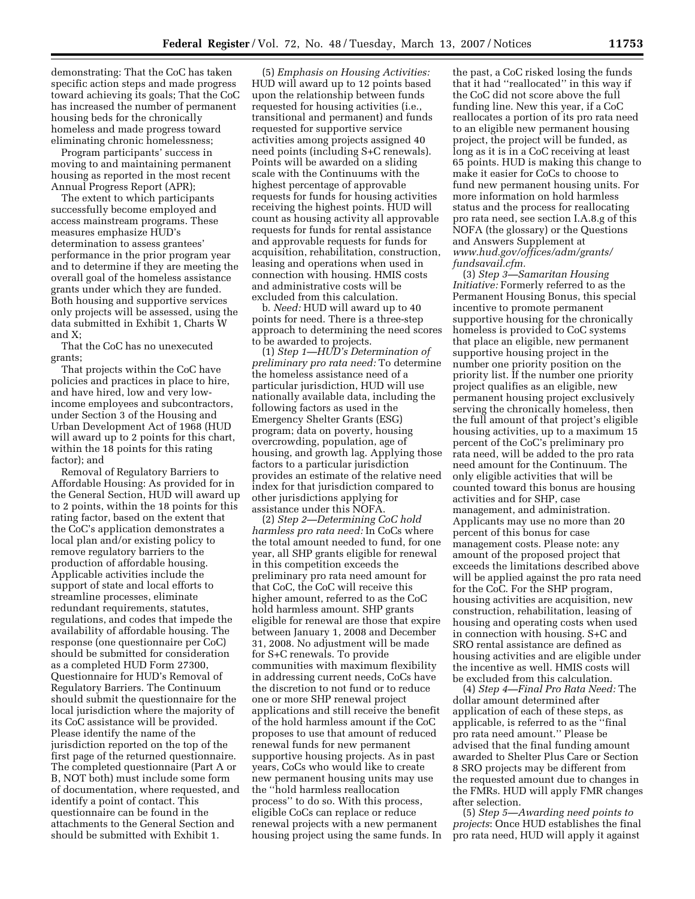demonstrating: That the CoC has taken specific action steps and made progress toward achieving its goals; That the CoC has increased the number of permanent housing beds for the chronically homeless and made progress toward eliminating chronic homelessness;

Program participants' success in moving to and maintaining permanent housing as reported in the most recent Annual Progress Report (APR);

The extent to which participants successfully become employed and access mainstream programs. These measures emphasize HUD's determination to assess grantees' performance in the prior program year and to determine if they are meeting the overall goal of the homeless assistance grants under which they are funded. Both housing and supportive services only projects will be assessed, using the data submitted in Exhibit 1, Charts W and X;

That the CoC has no unexecuted grants;

That projects within the CoC have policies and practices in place to hire, and have hired, low and very lowincome employees and subcontractors, under Section 3 of the Housing and Urban Development Act of 1968 (HUD will award up to 2 points for this chart, within the 18 points for this rating factor); and

Removal of Regulatory Barriers to Affordable Housing: As provided for in the General Section, HUD will award up to 2 points, within the 18 points for this rating factor, based on the extent that the CoC's application demonstrates a local plan and/or existing policy to remove regulatory barriers to the production of affordable housing. Applicable activities include the support of state and local efforts to streamline processes, eliminate redundant requirements, statutes, regulations, and codes that impede the availability of affordable housing. The response (one questionnaire per CoC) should be submitted for consideration as a completed HUD Form 27300, Questionnaire for HUD's Removal of Regulatory Barriers. The Continuum should submit the questionnaire for the local jurisdiction where the majority of its CoC assistance will be provided. Please identify the name of the jurisdiction reported on the top of the first page of the returned questionnaire. The completed questionnaire (Part A or B, NOT both) must include some form of documentation, where requested, and identify a point of contact. This questionnaire can be found in the attachments to the General Section and should be submitted with Exhibit 1.

(5) *Emphasis on Housing Activities:*  HUD will award up to 12 points based upon the relationship between funds requested for housing activities (i.e., transitional and permanent) and funds requested for supportive service activities among projects assigned 40 need points (including S+C renewals). Points will be awarded on a sliding scale with the Continuums with the highest percentage of approvable requests for funds for housing activities receiving the highest points. HUD will count as housing activity all approvable requests for funds for rental assistance and approvable requests for funds for acquisition, rehabilitation, construction, leasing and operations when used in connection with housing. HMIS costs and administrative costs will be excluded from this calculation.

b. *Need:* HUD will award up to 40 points for need. There is a three-step approach to determining the need scores to be awarded to projects.

(1) *Step 1—HUD's Determination of preliminary pro rata need:* To determine the homeless assistance need of a particular jurisdiction, HUD will use nationally available data, including the following factors as used in the Emergency Shelter Grants (ESG) program; data on poverty, housing overcrowding, population, age of housing, and growth lag. Applying those factors to a particular jurisdiction provides an estimate of the relative need index for that jurisdiction compared to other jurisdictions applying for assistance under this NOFA.

(2) *Step 2—Determining CoC hold harmless pro rata need:* In CoCs where the total amount needed to fund, for one year, all SHP grants eligible for renewal in this competition exceeds the preliminary pro rata need amount for that CoC, the CoC will receive this higher amount, referred to as the CoC hold harmless amount. SHP grants eligible for renewal are those that expire between January 1, 2008 and December 31, 2008. No adjustment will be made for S+C renewals. To provide communities with maximum flexibility in addressing current needs, CoCs have the discretion to not fund or to reduce one or more SHP renewal project applications and still receive the benefit of the hold harmless amount if the CoC proposes to use that amount of reduced renewal funds for new permanent supportive housing projects. As in past years, CoCs who would like to create new permanent housing units may use the ''hold harmless reallocation process'' to do so. With this process, eligible CoCs can replace or reduce renewal projects with a new permanent housing project using the same funds. In

the past, a CoC risked losing the funds that it had ''reallocated'' in this way if the CoC did not score above the full funding line. New this year, if a CoC reallocates a portion of its pro rata need to an eligible new permanent housing project, the project will be funded, as long as it is in a CoC receiving at least 65 points. HUD is making this change to make it easier for CoCs to choose to fund new permanent housing units. For more information on hold harmless status and the process for reallocating pro rata need, see section I.A.8.g of this NOFA (the glossary) or the Questions and Answers Supplement at *www.hud.gov/offices/adm/grants/ fundsavail.cfm.* 

(3) *Step 3—Samaritan Housing Initiative:* Formerly referred to as the Permanent Housing Bonus, this special incentive to promote permanent supportive housing for the chronically homeless is provided to CoC systems that place an eligible, new permanent supportive housing project in the number one priority position on the priority list. If the number one priority project qualifies as an eligible, new permanent housing project exclusively serving the chronically homeless, then the full amount of that project's eligible housing activities, up to a maximum 15 percent of the CoC's preliminary pro rata need, will be added to the pro rata need amount for the Continuum. The only eligible activities that will be counted toward this bonus are housing activities and for SHP, case management, and administration. Applicants may use no more than 20 percent of this bonus for case management costs. Please note: any amount of the proposed project that exceeds the limitations described above will be applied against the pro rata need for the CoC. For the SHP program, housing activities are acquisition, new construction, rehabilitation, leasing of housing and operating costs when used in connection with housing. S+C and SRO rental assistance are defined as housing activities and are eligible under the incentive as well. HMIS costs will be excluded from this calculation.

(4) *Step 4—Final Pro Rata Need:* The dollar amount determined after application of each of these steps, as applicable, is referred to as the ''final pro rata need amount.'' Please be advised that the final funding amount awarded to Shelter Plus Care or Section 8 SRO projects may be different from the requested amount due to changes in the FMRs. HUD will apply FMR changes after selection.

(5) *Step 5—Awarding need points to projects*: Once HUD establishes the final pro rata need, HUD will apply it against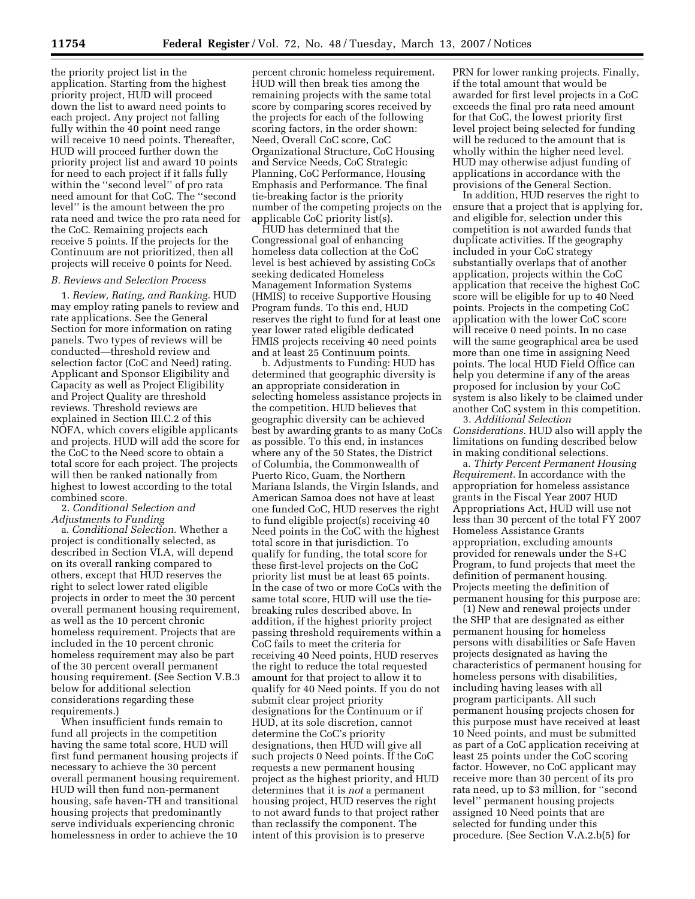the priority project list in the application. Starting from the highest priority project, HUD will proceed down the list to award need points to each project. Any project not falling fully within the 40 point need range will receive 10 need points. Thereafter, HUD will proceed further down the priority project list and award 10 points for need to each project if it falls fully within the ''second level'' of pro rata need amount for that CoC. The ''second level'' is the amount between the pro rata need and twice the pro rata need for the CoC. Remaining projects each receive 5 points. If the projects for the Continuum are not prioritized, then all projects will receive 0 points for Need.

## *B. Reviews and Selection Process*

1. *Review, Rating, and Ranking.* HUD may employ rating panels to review and rate applications. See the General Section for more information on rating panels. Two types of reviews will be conducted—threshold review and selection factor (CoC and Need) rating. Applicant and Sponsor Eligibility and Capacity as well as Project Eligibility and Project Quality are threshold reviews. Threshold reviews are explained in Section III.C.2 of this NOFA, which covers eligible applicants and projects. HUD will add the score for the CoC to the Need score to obtain a total score for each project. The projects will then be ranked nationally from highest to lowest according to the total combined score.

2. *Conditional Selection and Adjustments to Funding* 

a. *Conditional Selection.* Whether a project is conditionally selected, as described in Section VI.A, will depend on its overall ranking compared to others, except that HUD reserves the right to select lower rated eligible projects in order to meet the 30 percent overall permanent housing requirement, as well as the 10 percent chronic homeless requirement. Projects that are included in the 10 percent chronic homeless requirement may also be part of the 30 percent overall permanent housing requirement. (See Section V.B.3 below for additional selection considerations regarding these requirements.)

When insufficient funds remain to fund all projects in the competition having the same total score, HUD will first fund permanent housing projects if necessary to achieve the 30 percent overall permanent housing requirement. HUD will then fund non-permanent housing, safe haven-TH and transitional housing projects that predominantly serve individuals experiencing chronic homelessness in order to achieve the 10

percent chronic homeless requirement. HUD will then break ties among the remaining projects with the same total score by comparing scores received by the projects for each of the following scoring factors, in the order shown: Need, Overall CoC score, CoC Organizational Structure, CoC Housing and Service Needs, CoC Strategic Planning, CoC Performance, Housing Emphasis and Performance. The final tie-breaking factor is the priority number of the competing projects on the applicable CoC priority list(s).

HUD has determined that the Congressional goal of enhancing homeless data collection at the CoC level is best achieved by assisting CoCs seeking dedicated Homeless Management Information Systems (HMIS) to receive Supportive Housing Program funds. To this end, HUD reserves the right to fund for at least one year lower rated eligible dedicated HMIS projects receiving 40 need points and at least 25 Continuum points.

b. Adjustments to Funding: HUD has determined that geographic diversity is an appropriate consideration in selecting homeless assistance projects in the competition. HUD believes that geographic diversity can be achieved best by awarding grants to as many CoCs as possible. To this end, in instances where any of the 50 States, the District of Columbia, the Commonwealth of Puerto Rico, Guam, the Northern Mariana Islands, the Virgin Islands, and American Samoa does not have at least one funded CoC, HUD reserves the right to fund eligible project(s) receiving 40 Need points in the CoC with the highest total score in that jurisdiction. To qualify for funding, the total score for these first-level projects on the CoC priority list must be at least 65 points. In the case of two or more CoCs with the same total score, HUD will use the tiebreaking rules described above. In addition, if the highest priority project passing threshold requirements within a CoC fails to meet the criteria for receiving 40 Need points, HUD reserves the right to reduce the total requested amount for that project to allow it to qualify for 40 Need points. If you do not submit clear project priority designations for the Continuum or if HUD, at its sole discretion, cannot determine the CoC's priority designations, then HUD will give all such projects 0 Need points. If the CoC requests a new permanent housing project as the highest priority, and HUD determines that it is *not* a permanent housing project, HUD reserves the right to not award funds to that project rather than reclassify the component. The intent of this provision is to preserve

PRN for lower ranking projects. Finally, if the total amount that would be awarded for first level projects in a CoC exceeds the final pro rata need amount for that CoC, the lowest priority first level project being selected for funding will be reduced to the amount that is wholly within the higher need level. HUD may otherwise adjust funding of applications in accordance with the provisions of the General Section.

In addition, HUD reserves the right to ensure that a project that is applying for, and eligible for, selection under this competition is not awarded funds that duplicate activities. If the geography included in your CoC strategy substantially overlaps that of another application, projects within the CoC application that receive the highest CoC score will be eligible for up to 40 Need points. Projects in the competing CoC application with the lower CoC score will receive 0 need points. In no case will the same geographical area be used more than one time in assigning Need points. The local HUD Field Office can help you determine if any of the areas proposed for inclusion by your CoC system is also likely to be claimed under another CoC system in this competition.

3. *Additional Selection Considerations.* HUD also will apply the limitations on funding described below in making conditional selections.

a. *Thirty Percent Permanent Housing Requirement.* In accordance with the appropriation for homeless assistance grants in the Fiscal Year 2007 HUD Appropriations Act, HUD will use not less than 30 percent of the total FY 2007 Homeless Assistance Grants appropriation, excluding amounts provided for renewals under the S+C Program, to fund projects that meet the definition of permanent housing. Projects meeting the definition of permanent housing for this purpose are:

(1) New and renewal projects under the SHP that are designated as either permanent housing for homeless persons with disabilities or Safe Haven projects designated as having the characteristics of permanent housing for homeless persons with disabilities, including having leases with all program participants. All such permanent housing projects chosen for this purpose must have received at least 10 Need points, and must be submitted as part of a CoC application receiving at least 25 points under the CoC scoring factor. However, no CoC applicant may receive more than 30 percent of its pro rata need, up to \$3 million, for ''second level'' permanent housing projects assigned 10 Need points that are selected for funding under this procedure. (See Section V.A.2.b(5) for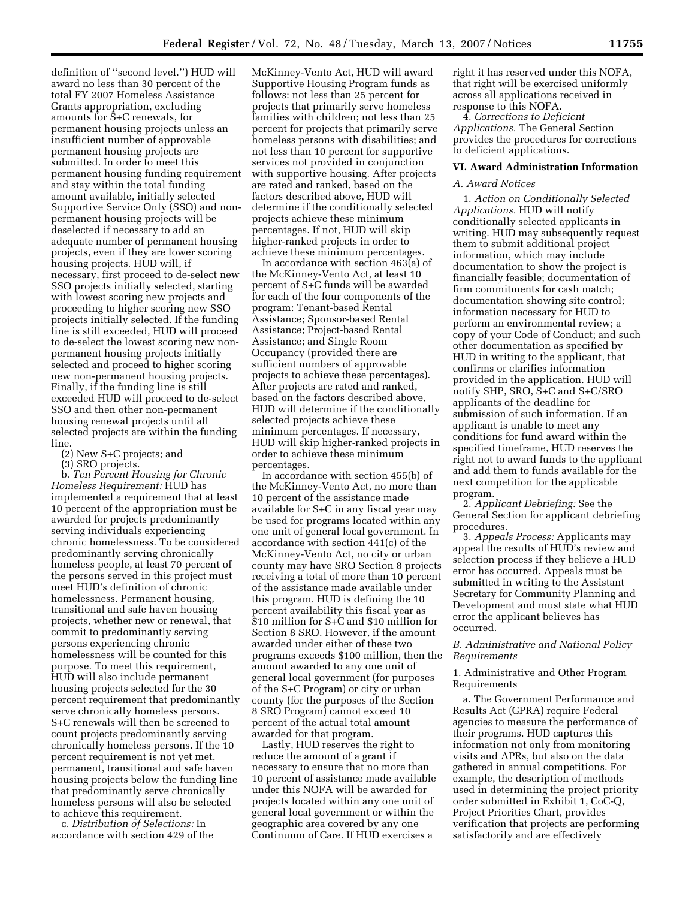definition of ''second level.'') HUD will award no less than 30 percent of the total FY 2007 Homeless Assistance Grants appropriation, excluding amounts for S+C renewals, for permanent housing projects unless an insufficient number of approvable permanent housing projects are submitted. In order to meet this permanent housing funding requirement and stay within the total funding amount available, initially selected Supportive Service Only (SSO) and nonpermanent housing projects will be deselected if necessary to add an adequate number of permanent housing projects, even if they are lower scoring housing projects. HUD will, if necessary, first proceed to de-select new SSO projects initially selected, starting with lowest scoring new projects and proceeding to higher scoring new SSO projects initially selected. If the funding line is still exceeded, HUD will proceed to de-select the lowest scoring new nonpermanent housing projects initially selected and proceed to higher scoring new non-permanent housing projects. Finally, if the funding line is still exceeded HUD will proceed to de-select SSO and then other non-permanent housing renewal projects until all selected projects are within the funding line.

(2) New S+C projects; and

(3) SRO projects.

b. *Ten Percent Housing for Chronic* 

*Homeless Requirement:* HUD has implemented a requirement that at least 10 percent of the appropriation must be awarded for projects predominantly serving individuals experiencing chronic homelessness. To be considered predominantly serving chronically homeless people, at least 70 percent of the persons served in this project must meet HUD's definition of chronic homelessness. Permanent housing, transitional and safe haven housing projects, whether new or renewal, that commit to predominantly serving persons experiencing chronic homelessness will be counted for this purpose. To meet this requirement, HUD will also include permanent housing projects selected for the 30 percent requirement that predominantly serve chronically homeless persons. S+C renewals will then be screened to count projects predominantly serving chronically homeless persons. If the 10 percent requirement is not yet met, permanent, transitional and safe haven housing projects below the funding line that predominantly serve chronically homeless persons will also be selected to achieve this requirement.

c. *Distribution of Selections:* In accordance with section 429 of the

McKinney-Vento Act, HUD will award Supportive Housing Program funds as follows: not less than 25 percent for projects that primarily serve homeless families with children; not less than 25 percent for projects that primarily serve homeless persons with disabilities; and not less than 10 percent for supportive services not provided in conjunction with supportive housing. After projects are rated and ranked, based on the factors described above, HUD will determine if the conditionally selected projects achieve these minimum percentages. If not, HUD will skip higher-ranked projects in order to achieve these minimum percentages.

In accordance with section 463(a) of the McKinney-Vento Act, at least 10 percent of S+C funds will be awarded for each of the four components of the program: Tenant-based Rental Assistance; Sponsor-based Rental Assistance; Project-based Rental Assistance; and Single Room Occupancy (provided there are sufficient numbers of approvable projects to achieve these percentages). After projects are rated and ranked, based on the factors described above, HUD will determine if the conditionally selected projects achieve these minimum percentages. If necessary, HUD will skip higher-ranked projects in order to achieve these minimum percentages.

In accordance with section 455(b) of the McKinney-Vento Act, no more than 10 percent of the assistance made available for S+C in any fiscal year may be used for programs located within any one unit of general local government. In accordance with section 441(c) of the McKinney-Vento Act, no city or urban county may have SRO Section 8 projects receiving a total of more than 10 percent of the assistance made available under this program. HUD is defining the 10 percent availability this fiscal year as \$10 million for S+C and \$10 million for Section 8 SRO. However, if the amount awarded under either of these two programs exceeds \$100 million, then the amount awarded to any one unit of general local government (for purposes of the S+C Program) or city or urban county (for the purposes of the Section 8 SRO Program) cannot exceed 10 percent of the actual total amount awarded for that program.

Lastly, HUD reserves the right to reduce the amount of a grant if necessary to ensure that no more than 10 percent of assistance made available under this NOFA will be awarded for projects located within any one unit of general local government or within the geographic area covered by any one Continuum of Care. If HUD exercises a

right it has reserved under this NOFA, that right will be exercised uniformly across all applications received in response to this NOFA.

4. *Corrections to Deficient Applications.* The General Section provides the procedures for corrections to deficient applications.

## **VI. Award Administration Information**

## *A. Award Notices*

1. *Action on Conditionally Selected Applications.* HUD will notify conditionally selected applicants in writing. HUD may subsequently request them to submit additional project information, which may include documentation to show the project is financially feasible; documentation of firm commitments for cash match; documentation showing site control; information necessary for HUD to perform an environmental review; a copy of your Code of Conduct; and such other documentation as specified by HUD in writing to the applicant, that confirms or clarifies information provided in the application. HUD will notify SHP, SRO, S+C and S+C/SRO applicants of the deadline for submission of such information. If an applicant is unable to meet any conditions for fund award within the specified timeframe, HUD reserves the right not to award funds to the applicant and add them to funds available for the next competition for the applicable program.

2. *Applicant Debriefing:* See the General Section for applicant debriefing procedures.

3. *Appeals Process:* Applicants may appeal the results of HUD's review and selection process if they believe a HUD error has occurred. Appeals must be submitted in writing to the Assistant Secretary for Community Planning and Development and must state what HUD error the applicant believes has occurred.

## *B. Administrative and National Policy Requirements*

## 1. Administrative and Other Program Requirements

a. The Government Performance and Results Act (GPRA) require Federal agencies to measure the performance of their programs. HUD captures this information not only from monitoring visits and APRs, but also on the data gathered in annual competitions. For example, the description of methods used in determining the project priority order submitted in Exhibit 1, CoC-Q, Project Priorities Chart, provides verification that projects are performing satisfactorily and are effectively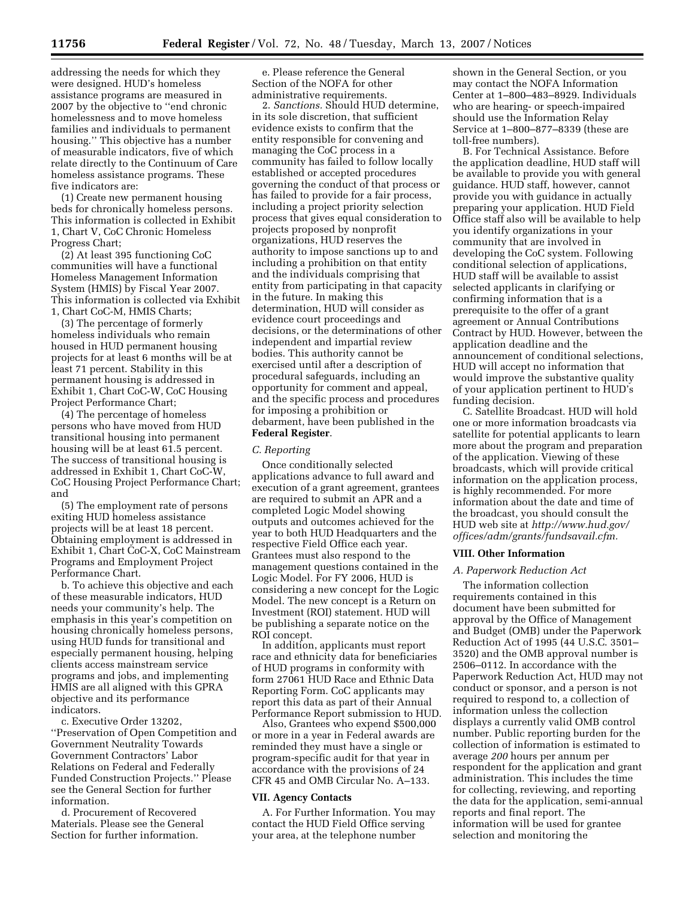addressing the needs for which they were designed. HUD's homeless assistance programs are measured in 2007 by the objective to ''end chronic homelessness and to move homeless families and individuals to permanent housing.'' This objective has a number of measurable indicators, five of which relate directly to the Continuum of Care homeless assistance programs. These five indicators are:

(1) Create new permanent housing beds for chronically homeless persons. This information is collected in Exhibit 1, Chart V, CoC Chronic Homeless Progress Chart;

(2) At least 395 functioning CoC communities will have a functional Homeless Management Information System (HMIS) by Fiscal Year 2007. This information is collected via Exhibit 1, Chart CoC-M, HMIS Charts;

(3) The percentage of formerly homeless individuals who remain housed in HUD permanent housing projects for at least 6 months will be at least 71 percent. Stability in this permanent housing is addressed in Exhibit 1, Chart CoC-W, CoC Housing Project Performance Chart;

(4) The percentage of homeless persons who have moved from HUD transitional housing into permanent housing will be at least 61.5 percent. The success of transitional housing is addressed in Exhibit 1, Chart CoC-W, CoC Housing Project Performance Chart; and

(5) The employment rate of persons exiting HUD homeless assistance projects will be at least 18 percent. Obtaining employment is addressed in Exhibit 1, Chart CoC-X, CoC Mainstream Programs and Employment Project Performance Chart.

b. To achieve this objective and each of these measurable indicators, HUD needs your community's help. The emphasis in this year's competition on housing chronically homeless persons, using HUD funds for transitional and especially permanent housing, helping clients access mainstream service programs and jobs, and implementing HMIS are all aligned with this GPRA objective and its performance indicators.

c. Executive Order 13202, ''Preservation of Open Competition and Government Neutrality Towards Government Contractors' Labor Relations on Federal and Federally Funded Construction Projects.'' Please see the General Section for further information.

d. Procurement of Recovered Materials. Please see the General Section for further information.

e. Please reference the General Section of the NOFA for other administrative requirements.

2. *Sanctions.* Should HUD determine, in its sole discretion, that sufficient evidence exists to confirm that the entity responsible for convening and managing the CoC process in a community has failed to follow locally established or accepted procedures governing the conduct of that process or has failed to provide for a fair process, including a project priority selection process that gives equal consideration to projects proposed by nonprofit organizations, HUD reserves the authority to impose sanctions up to and including a prohibition on that entity and the individuals comprising that entity from participating in that capacity in the future. In making this determination, HUD will consider as evidence court proceedings and decisions, or the determinations of other independent and impartial review bodies. This authority cannot be exercised until after a description of procedural safeguards, including an opportunity for comment and appeal, and the specific process and procedures for imposing a prohibition or debarment, have been published in the **Federal Register**.

## *C. Reporting*

Once conditionally selected applications advance to full award and execution of a grant agreement, grantees are required to submit an APR and a completed Logic Model showing outputs and outcomes achieved for the year to both HUD Headquarters and the respective Field Office each year. Grantees must also respond to the management questions contained in the Logic Model. For FY 2006, HUD is considering a new concept for the Logic Model. The new concept is a Return on Investment (ROI) statement. HUD will be publishing a separate notice on the ROI concept.

In addition, applicants must report race and ethnicity data for beneficiaries of HUD programs in conformity with form 27061 HUD Race and Ethnic Data Reporting Form. CoC applicants may report this data as part of their Annual Performance Report submission to HUD.

Also, Grantees who expend \$500,000 or more in a year in Federal awards are reminded they must have a single or program-specific audit for that year in accordance with the provisions of 24 CFR 45 and OMB Circular No. A–133.

## **VII. Agency Contacts**

A. For Further Information. You may contact the HUD Field Office serving your area, at the telephone number

shown in the General Section, or you may contact the NOFA Information Center at 1–800–483–8929. Individuals who are hearing- or speech-impaired should use the Information Relay Service at 1–800–877–8339 (these are toll-free numbers).

B. For Technical Assistance. Before the application deadline, HUD staff will be available to provide you with general guidance. HUD staff, however, cannot provide you with guidance in actually preparing your application. HUD Field Office staff also will be available to help you identify organizations in your community that are involved in developing the CoC system. Following conditional selection of applications, HUD staff will be available to assist selected applicants in clarifying or confirming information that is a prerequisite to the offer of a grant agreement or Annual Contributions Contract by HUD. However, between the application deadline and the announcement of conditional selections, HUD will accept no information that would improve the substantive quality of your application pertinent to HUD's funding decision.

C. Satellite Broadcast. HUD will hold one or more information broadcasts via satellite for potential applicants to learn more about the program and preparation of the application. Viewing of these broadcasts, which will provide critical information on the application process, is highly recommended. For more information about the date and time of the broadcast, you should consult the HUD web site at *http://www.hud.gov/ offices/adm/grants/fundsavail.cfm.* 

#### **VIII. Other Information**

#### *A. Paperwork Reduction Act*

The information collection requirements contained in this document have been submitted for approval by the Office of Management and Budget (OMB) under the Paperwork Reduction Act of 1995 (44 U.S.C. 3501– 3520) and the OMB approval number is 2506–0112. In accordance with the Paperwork Reduction Act, HUD may not conduct or sponsor, and a person is not required to respond to, a collection of information unless the collection displays a currently valid OMB control number. Public reporting burden for the collection of information is estimated to average *200* hours per annum per respondent for the application and grant administration. This includes the time for collecting, reviewing, and reporting the data for the application, semi-annual reports and final report. The information will be used for grantee selection and monitoring the